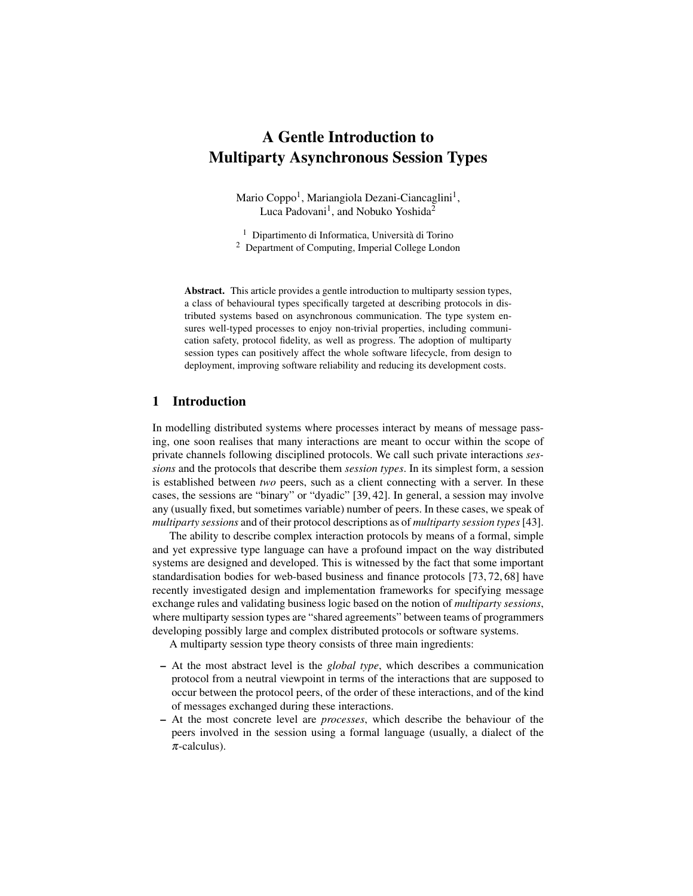# A Gentle Introduction to Multiparty Asynchronous Session Types

Mario Coppo<sup>1</sup>, Mariangiola Dezani-Ciancaglini<sup>1</sup>, Luca Padovani<sup>1</sup>, and Nobuko Yoshida<sup>2</sup>

 $^{\rm 1}$  Dipartimento di Informatica, Università di Torino <sup>2</sup> Department of Computing, Imperial College London

Abstract. This article provides a gentle introduction to multiparty session types, a class of behavioural types specifically targeted at describing protocols in distributed systems based on asynchronous communication. The type system ensures well-typed processes to enjoy non-trivial properties, including communication safety, protocol fidelity, as well as progress. The adoption of multiparty session types can positively affect the whole software lifecycle, from design to deployment, improving software reliability and reducing its development costs.

## 1 Introduction

In modelling distributed systems where processes interact by means of message passing, one soon realises that many interactions are meant to occur within the scope of private channels following disciplined protocols. We call such private interactions *sessions* and the protocols that describe them *session types*. In its simplest form, a session is established between *two* peers, such as a client connecting with a server. In these cases, the sessions are "binary" or "dyadic" [39, 42]. In general, a session may involve any (usually fixed, but sometimes variable) number of peers. In these cases, we speak of *multiparty sessions* and of their protocol descriptions as of *multiparty session types*[43].

The ability to describe complex interaction protocols by means of a formal, simple and yet expressive type language can have a profound impact on the way distributed systems are designed and developed. This is witnessed by the fact that some important standardisation bodies for web-based business and finance protocols [73, 72, 68] have recently investigated design and implementation frameworks for specifying message exchange rules and validating business logic based on the notion of *multiparty sessions*, where multiparty session types are "shared agreements" between teams of programmers developing possibly large and complex distributed protocols or software systems.

A multiparty session type theory consists of three main ingredients:

- At the most abstract level is the *global type*, which describes a communication protocol from a neutral viewpoint in terms of the interactions that are supposed to occur between the protocol peers, of the order of these interactions, and of the kind of messages exchanged during these interactions.
- At the most concrete level are *processes*, which describe the behaviour of the peers involved in the session using a formal language (usually, a dialect of the  $\pi$ -calculus).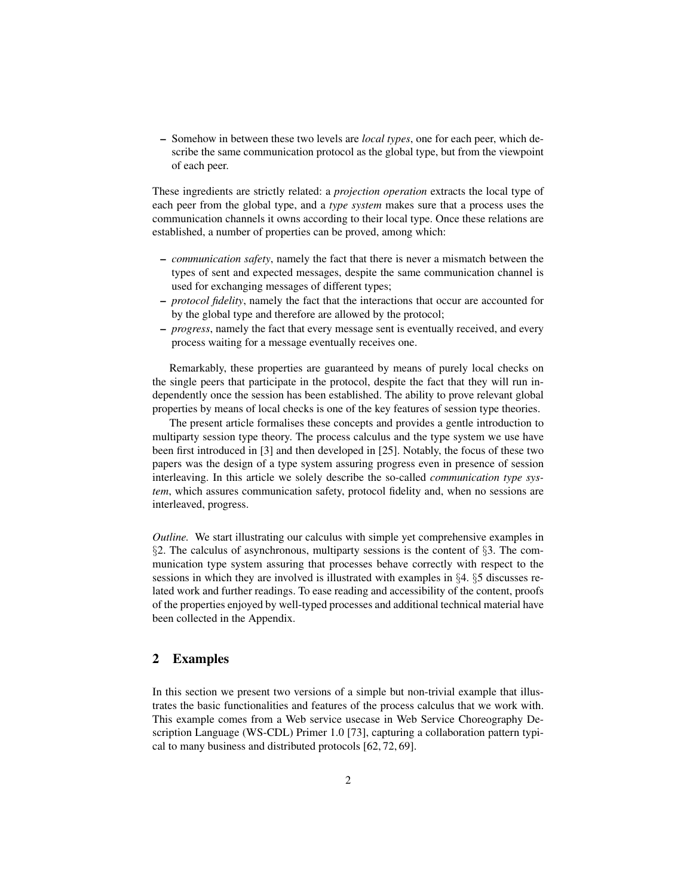– Somehow in between these two levels are *local types*, one for each peer, which describe the same communication protocol as the global type, but from the viewpoint of each peer.

These ingredients are strictly related: a *projection operation* extracts the local type of each peer from the global type, and a *type system* makes sure that a process uses the communication channels it owns according to their local type. Once these relations are established, a number of properties can be proved, among which:

- *communication safety*, namely the fact that there is never a mismatch between the types of sent and expected messages, despite the same communication channel is used for exchanging messages of different types;
- *protocol fidelity*, namely the fact that the interactions that occur are accounted for by the global type and therefore are allowed by the protocol;
- *progress*, namely the fact that every message sent is eventually received, and every process waiting for a message eventually receives one.

Remarkably, these properties are guaranteed by means of purely local checks on the single peers that participate in the protocol, despite the fact that they will run independently once the session has been established. The ability to prove relevant global properties by means of local checks is one of the key features of session type theories.

The present article formalises these concepts and provides a gentle introduction to multiparty session type theory. The process calculus and the type system we use have been first introduced in [3] and then developed in [25]. Notably, the focus of these two papers was the design of a type system assuring progress even in presence of session interleaving. In this article we solely describe the so-called *communication type system*, which assures communication safety, protocol fidelity and, when no sessions are interleaved, progress.

*Outline.* We start illustrating our calculus with simple yet comprehensive examples in §2. The calculus of asynchronous, multiparty sessions is the content of §3. The communication type system assuring that processes behave correctly with respect to the sessions in which they are involved is illustrated with examples in §4. §5 discusses related work and further readings. To ease reading and accessibility of the content, proofs of the properties enjoyed by well-typed processes and additional technical material have been collected in the Appendix.

## 2 Examples

In this section we present two versions of a simple but non-trivial example that illustrates the basic functionalities and features of the process calculus that we work with. This example comes from a Web service usecase in Web Service Choreography Description Language (WS-CDL) Primer 1.0 [73], capturing a collaboration pattern typical to many business and distributed protocols [62, 72, 69].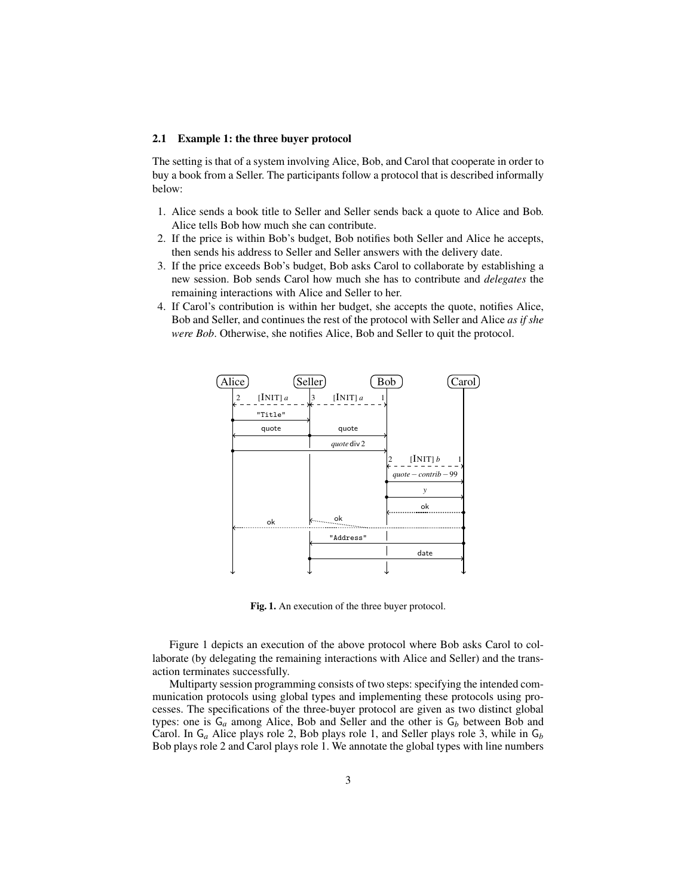#### 2.1 Example 1: the three buyer protocol

The setting is that of a system involving Alice, Bob, and Carol that cooperate in order to buy a book from a Seller. The participants follow a protocol that is described informally below:

- 1. Alice sends a book title to Seller and Seller sends back a quote to Alice and Bob. Alice tells Bob how much she can contribute.
- 2. If the price is within Bob's budget, Bob notifies both Seller and Alice he accepts, then sends his address to Seller and Seller answers with the delivery date.
- 3. If the price exceeds Bob's budget, Bob asks Carol to collaborate by establishing a new session. Bob sends Carol how much she has to contribute and *delegates* the remaining interactions with Alice and Seller to her.
- 4. If Carol's contribution is within her budget, she accepts the quote, notifies Alice, Bob and Seller, and continues the rest of the protocol with Seller and Alice *as if she were Bob*. Otherwise, she notifies Alice, Bob and Seller to quit the protocol.



Fig. 1. An execution of the three buyer protocol.

Figure 1 depicts an execution of the above protocol where Bob asks Carol to collaborate (by delegating the remaining interactions with Alice and Seller) and the transaction terminates successfully.

Multiparty session programming consists of two steps: specifying the intended communication protocols using global types and implementing these protocols using processes. The specifications of the three-buyer protocol are given as two distinct global types: one is  $G_a$  among Alice, Bob and Seller and the other is  $G_b$  between Bob and Carol. In G*<sup>a</sup>* Alice plays role 2, Bob plays role 1, and Seller plays role 3, while in G*<sup>b</sup>* Bob plays role 2 and Carol plays role 1. We annotate the global types with line numbers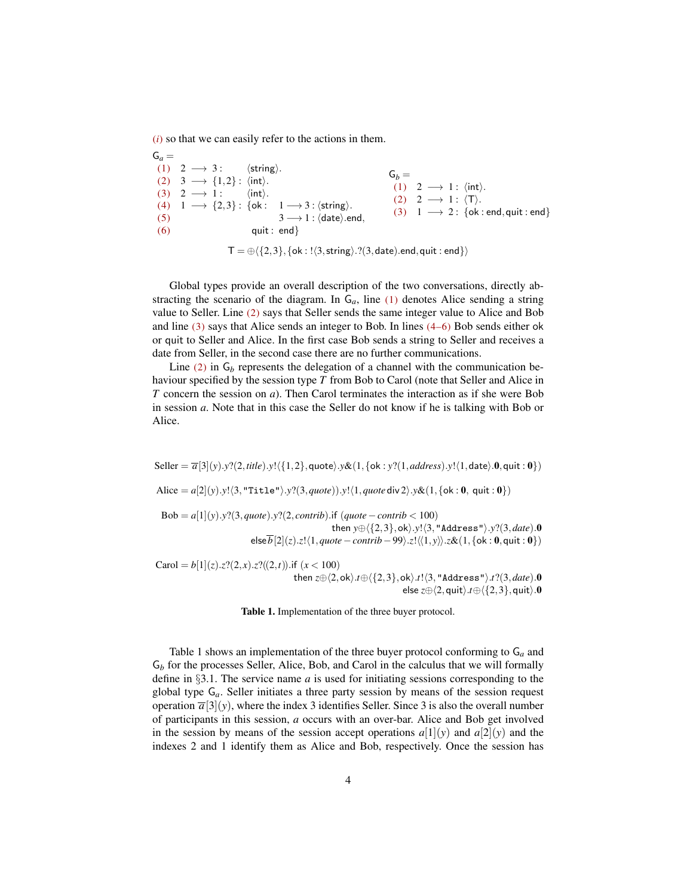(*i*) so that we can easily refer to the actions in them.

 $G_a =$ (1) 2  $\longrightarrow$  3:  $\langle$  string $\rangle$ . (2)  $3 \rightarrow \{1,2\}$ :  $\langle \text{int} \rangle$ . (3)  $2 \rightarrow 1$ :  $\langle \text{int} \rangle$ . (4)  $1 \rightarrow \{2,3\}$ : {ok:  $1 \rightarrow 3$ :  $\langle$ string $\rangle$ . (5)  $3 \rightarrow 1$  :  $\langle \text{date} \rangle$ .end,  $(6)$  quit : end}  $G_b =$ (1) 2  $\longrightarrow$  1 :  $\langle \text{int} \rangle$ .  $(2)$  2  $\longrightarrow$  1 :  $\langle T \rangle$ . (3)  $1 \rightarrow 2$ : {ok : end, quit : end}  $T = \bigoplus \{\{2,3\},\{\textsf{ok} : ! \langle 3, \textsf{string} \rangle. ?(3,\textsf{date}).\textsf{end},\textsf{quit} : \textsf{end}\}\}$ 

Global types provide an overall description of the two conversations, directly abstracting the scenario of the diagram. In  $G_a$ , line (1) denotes Alice sending a string value to Seller. Line (2) says that Seller sends the same integer value to Alice and Bob and line (3) says that Alice sends an integer to Bob. In lines (4–6) Bob sends either ok or quit to Seller and Alice. In the first case Bob sends a string to Seller and receives a date from Seller, in the second case there are no further communications.

Line  $(2)$  in  $G_b$  represents the delegation of a channel with the communication behaviour specified by the session type *T* from Bob to Carol (note that Seller and Alice in *T* concern the session on *a*). Then Carol terminates the interaction as if she were Bob in session *a*. Note that in this case the Seller do not know if he is talking with Bob or Alice.

 $Seller = \overline{a}[3](y) \cdot y$ ?(2,*title*).*y*!{{1,2},quote}.*y&*(1,{ok : *y*?(1,*address*).*y*!{1,date}.0,quit : 0}) Alice =  $a[2](y)$ .*y*! $\langle 3, \text{"Title"} \rangle$ .*y*? $(3, \text{quote})$ .*y*! $\langle 1, \text{quote div } 2 \rangle$ .*y*& $(1, \{\text{ok} : 0, \text{ quit} : 0\})$ Bob =  $a[1](y)$ .*y*?(3,*quote*).*y*?(2,*contrib*).if (*quote* − *contrib* < 100) then  $y \oplus \langle \{2,3\}, \text{ok} \rangle.y! \langle 3, \text{"Address"\rangle.y?$ (3, *date*).0  $\pmb{\quad \text{else} } \overline{b}[2](z).z!\langle 1, \textit{quote}-\textit{contrib}-99 \rangle. z!\langle\!\langle 1, \textit{y}\rangle\!\rangle. z\&\!\left(1, \{\textsf{ok}: \textbf{0}, \textsf{quit}: \textbf{0}\} \right)$ Carol =  $b[1](z)$ .*z*?(2,*x*).*z*?((2,*t*)).if (*x* < 100)

then  $z \oplus \langle 2, \text{ok} \rangle .t \oplus \langle \{2,3\}, \text{ok} \rangle .t! \langle 3, \text{"Address"} \rangle .t?$ (3, *date*).0 else  $z \oplus \langle 2, \text{quit} \rangle .t \oplus \langle \{2,3\}, \text{quit} \rangle.0$ 

Table 1. Implementation of the three buyer protocol.

Table 1 shows an implementation of the three buyer protocol conforming to G*<sup>a</sup>* and G*<sup>b</sup>* for the processes Seller, Alice, Bob, and Carol in the calculus that we will formally define in §3.1. The service name *a* is used for initiating sessions corresponding to the global type G*a*. Seller initiates a three party session by means of the session request operation  $\overline{a}[3](y)$ , where the index 3 identifies Seller. Since 3 is also the overall number of participants in this session, *a* occurs with an over-bar. Alice and Bob get involved in the session by means of the session accept operations  $a[1](y)$  and  $a[2](y)$  and the indexes 2 and 1 identify them as Alice and Bob, respectively. Once the session has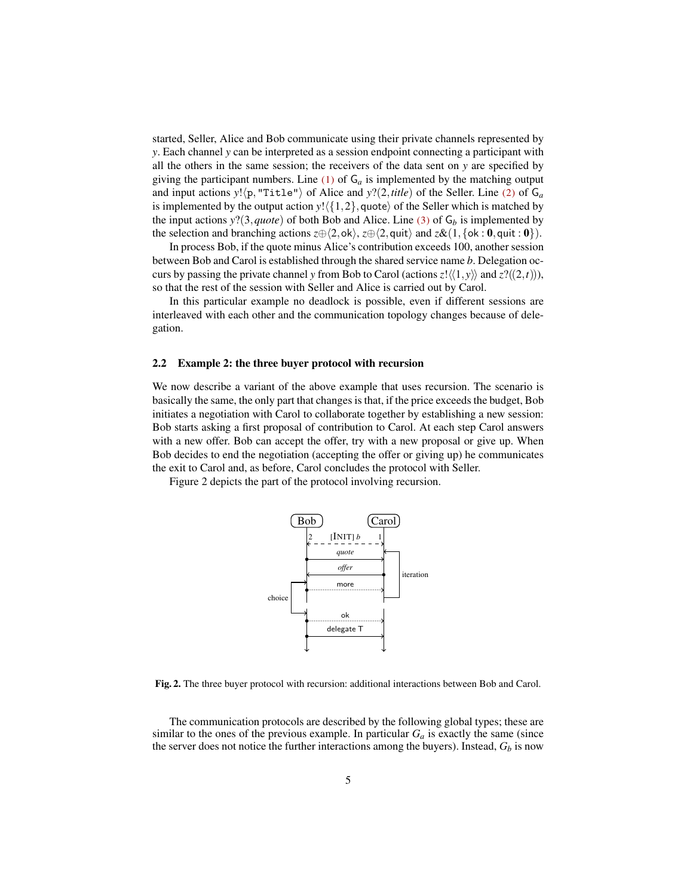started, Seller, Alice and Bob communicate using their private channels represented by *y*. Each channel *y* can be interpreted as a session endpoint connecting a participant with all the others in the same session; the receivers of the data sent on *y* are specified by giving the participant numbers. Line  $(1)$  of  $G_a$  is implemented by the matching output and input actions  $y! \langle p, "Title" \rangle$  of Alice and  $y?$ (2,*title*) of the Seller. Line (2) of  $G_a$ is implemented by the output action  $y! \langle \{1,2\},\text{quote} \rangle$  of the Seller which is matched by the input actions  $y$ ?(3,*quote*) of both Bob and Alice. Line (3) of  $G_b$  is implemented by the selection and branching actions  $z \oplus \langle 2, \text{ok} \rangle$ ,  $z \oplus \langle 2, \text{quit} \rangle$  and  $z \& (1, \{\text{ok} : 0, \text{quit} : 0\})$ .

In process Bob, if the quote minus Alice's contribution exceeds 100, another session between Bob and Carol is established through the shared service name *b*. Delegation occurs by passing the private channel *y* from Bob to Carol (actions  $z! \langle \langle 1, y \rangle \rangle$  and  $z?((2,t))$ ), so that the rest of the session with Seller and Alice is carried out by Carol.

In this particular example no deadlock is possible, even if different sessions are interleaved with each other and the communication topology changes because of delegation.

#### 2.2 Example 2: the three buyer protocol with recursion

We now describe a variant of the above example that uses recursion. The scenario is basically the same, the only part that changes is that, if the price exceeds the budget, Bob initiates a negotiation with Carol to collaborate together by establishing a new session: Bob starts asking a first proposal of contribution to Carol. At each step Carol answers with a new offer. Bob can accept the offer, try with a new proposal or give up. When Bob decides to end the negotiation (accepting the offer or giving up) he communicates the exit to Carol and, as before, Carol concludes the protocol with Seller.

Figure 2 depicts the part of the protocol involving recursion.



Fig. 2. The three buyer protocol with recursion: additional interactions between Bob and Carol.

The communication protocols are described by the following global types; these are similar to the ones of the previous example. In particular  $G_a$  is exactly the same (since the server does not notice the further interactions among the buyers). Instead,  $G_b$  is now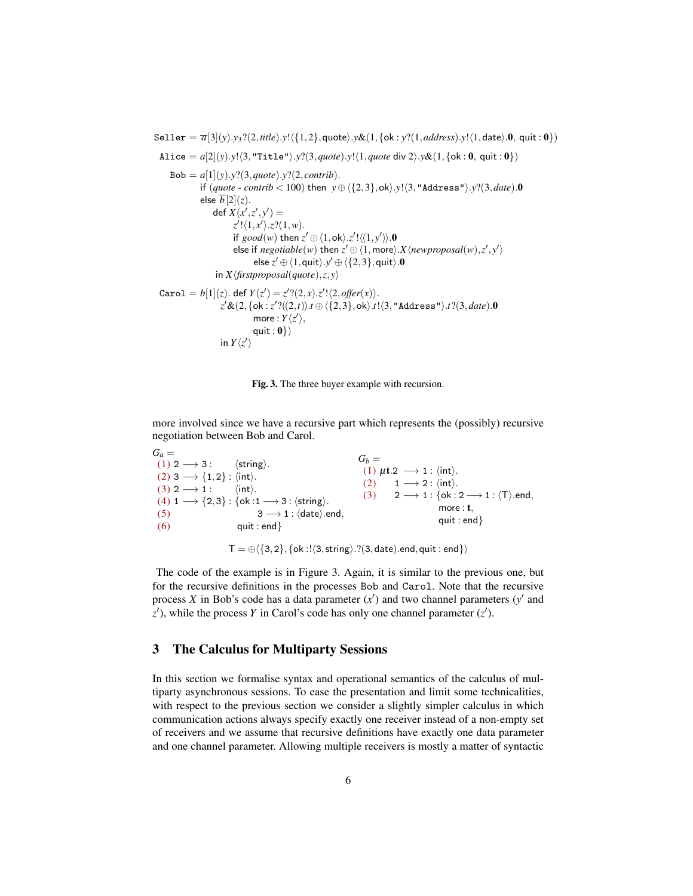$\text{Select} = \overline{a}[3](y).y_3? (2, title).y!({1,2}, quote).y& (1, {ok : y? (1, address).y!({1, date).0, quit : 0})$ Alice =  $a[2](y)$ .*y*! $\langle 3, \text{"Title"} \rangle$ .*y*? $(3, \text{quote})$ .*y*! $\langle 1, \text{quote div } 2 \rangle$ .*y*& $(1, \{\text{ok} : 0, \text{ quit} : 0\})$  $Bob = a[1](y) \cdot y?$  (3, *quote*). *y*? (2, *contrib*). if  $(\text{quote} - \text{contrib} < 100)$  then  $y \oplus \langle \{2,3\}, \text{ok}\rangle.y! \langle 3, \text{"Address"} \rangle.y? \langle 3, \text{date}}$ .0 else  $\overline{b}[2](z)$ .  $\det X(x', z', y') =$  $z'$ ! $\langle 1, x' \rangle$ .*z*? $(1, w)$ . if  $good(w)$  then  $z' \oplus \langle 1, \text{ok} \rangle \cdot z' \cdot \langle \langle 1, y' \rangle \rangle \cdot \mathbf{0}$  $\mathsf{else}$  if  $\mathit{negdisplay}(\mathit{w})$  then  $z' \oplus \langle 1, \text{more} \rangle$ .  $X \langle \mathit{newproposal}(w), z', y' \rangle$ else  $z' \oplus \langle 1, \mathsf{quit}\rangle . y' \oplus \langle \{2,3\}, \mathsf{quit}\rangle .\mathbf{0}$ in  $X \langle first proposal(quote), z, y \rangle$  $\text{Carol} = b[1](z)$ . def  $Y(z') = z'$ ? $(2, x)$ . $z'$ ! $\langle 2, \text{offer}(x) \rangle$ . *z'&*(2,{ok:*z'*?((2,*t*)).*t* ⊕  $\langle$ {2,3},ok).*t*! $\langle$ 3,"Address"}.*t*?(3,*date*).0 more :  $Y\langle z'\rangle$ , quit :  $\mathbf{0}$ }) in  $Y\langle z' \rangle$ 



more involved since we have a recursive part which represents the (possibly) recursive negotiation between Bob and Carol.

 $G_a =$ (1)  $2 \rightarrow 3$ :  $\langle$  string). (2) 3  $\longrightarrow$  {1,2} :  $\langle \text{int} \rangle$ .  $(3)$  2  $\longrightarrow$  1 :  $\langle \text{int} \rangle$ . (4)  $1 \longrightarrow \{2,3\}$ : {ok :1  $\longrightarrow$  3 :  $\langle$ string $\rangle$ . (5)  $3 \rightarrow 1 : \langle \text{date} \rangle \text{.end},$  $(6)$  quit : end }  $G_b =$ (1)  $\mu$ t.2  $\longrightarrow$  1 :  $\langle \text{int} \rangle$ . (2)  $1 \rightarrow 2$  :  $\langle \text{int} \rangle$ . (3)  $2 \rightarrow 1 : \{ \text{ok} : 2 \rightarrow 1 : \langle \text{T} \rangle \text{.end},$ more : t. quit : end}

 $T = \bigoplus \{\{3,2\},\{\text{ok}:\exists (\exists, \text{string}), ?(\exists, \text{date}).\text{end}, \text{quit}: \text{end}\}\}\$ 

The code of the example is in Figure 3. Again, it is similar to the previous one, but for the recursive definitions in the processes Bob and Carol. Note that the recursive process *X* in Bob's code has a data parameter  $(x')$  and two channel parameters  $(y'$  and  $z'$ ), while the process *Y* in Carol's code has only one channel parameter  $(z')$ .

## 3 The Calculus for Multiparty Sessions

In this section we formalise syntax and operational semantics of the calculus of multiparty asynchronous sessions. To ease the presentation and limit some technicalities, with respect to the previous section we consider a slightly simpler calculus in which communication actions always specify exactly one receiver instead of a non-empty set of receivers and we assume that recursive definitions have exactly one data parameter and one channel parameter. Allowing multiple receivers is mostly a matter of syntactic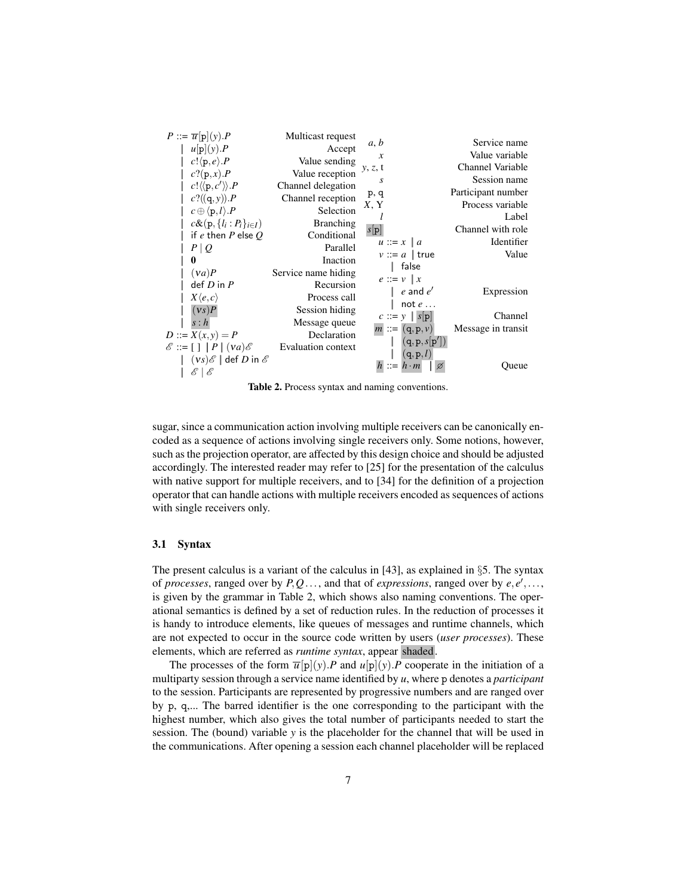| $P ::= \overline{u}[p](y).P$                                       | Multicast request         |                                      |                    |
|--------------------------------------------------------------------|---------------------------|--------------------------------------|--------------------|
| $u p (y)$ . $P$                                                    | Accept                    | a, b                                 | Service name       |
|                                                                    |                           | $\boldsymbol{\chi}$                  | Value variable     |
| c!(p,e).P                                                          | Value sending             | y, z, t                              | Channel Variable   |
| $c?(\mathbf{p},x).P$                                               | Value reception           | S                                    | Session name       |
| $c! \langle \langle p, c' \rangle \rangle P$                       | Channel delegation        |                                      |                    |
| c?((q, y)).P                                                       | Channel reception         | p, q                                 | Participant number |
| $c \oplus \langle p, l \rangle \cdot P$                            | Selection                 | X, Y                                 | Process variable   |
| $c\&(p,\{l_i:P_i\}_{i\in I})$                                      | <b>Branching</b>          |                                      | Label              |
|                                                                    | Conditional               | s[p]                                 | Channel with role  |
| if e then P else $Q$                                               |                           | $u ::= x \mid a$                     | Identifier         |
| $P \mid Q$                                                         | Parallel                  | $v ::= a \mid true$                  | Value              |
| $\bf{0}$                                                           | Inaction                  | false                                |                    |
| (va)P                                                              | Service name hiding       |                                      |                    |
| $def D$ in $P$                                                     | Recursion                 | $e ::= v \mid x$                     |                    |
| $X\langle e, c\rangle$                                             | Process call              | $e$ and $e'$                         | Expression         |
| (vs)P                                                              |                           | not $e \ldots$                       |                    |
|                                                                    | Session hiding            | $c ::= y \mid s[p]$                  | Channel            |
| s : h                                                              | Message queue             | $m ::= (q, p, v)$                    | Message in transit |
| $D ::= X(x, y) = P$                                                | Declaration               |                                      |                    |
| $\mathscr{E} ::= \lceil \cdot \rceil \mid P \mid (va) \mathscr{E}$ | <b>Evaluation context</b> | (q, p, s[p'])                        |                    |
| $(vs)\mathscr{E}$ def D in $\mathscr{E}$                           |                           | (q, p, l)                            |                    |
| E<br>ℰ                                                             |                           | $\mathrel{\mathop:}= h \cdot m$<br>Ø | Queue              |

Table 2. Process syntax and naming conventions.

sugar, since a communication action involving multiple receivers can be canonically encoded as a sequence of actions involving single receivers only. Some notions, however, such as the projection operator, are affected by this design choice and should be adjusted accordingly. The interested reader may refer to [25] for the presentation of the calculus with native support for multiple receivers, and to [34] for the definition of a projection operator that can handle actions with multiple receivers encoded as sequences of actions with single receivers only.

#### 3.1 Syntax

The present calculus is a variant of the calculus in [43], as explained in §5. The syntax of *processes*, ranged over by  $P, Q, \ldots$ , and that of *expressions*, ranged over by  $e, e', \ldots$ , is given by the grammar in Table 2, which shows also naming conventions. The operational semantics is defined by a set of reduction rules. In the reduction of processes it is handy to introduce elements, like queues of messages and runtime channels, which are not expected to occur in the source code written by users (*user processes*). These elements, which are referred as *runtime syntax*, appear shaded.

The processes of the form  $\overline{u}[p](y)$ . *P* and  $u[p](y)$ . *P* cooperate in the initiation of a multiparty session through a service name identified by *u*, where p denotes a *participant* to the session. Participants are represented by progressive numbers and are ranged over by p, q,... The barred identifier is the one corresponding to the participant with the highest number, which also gives the total number of participants needed to start the session. The (bound) variable *y* is the placeholder for the channel that will be used in the communications. After opening a session each channel placeholder will be replaced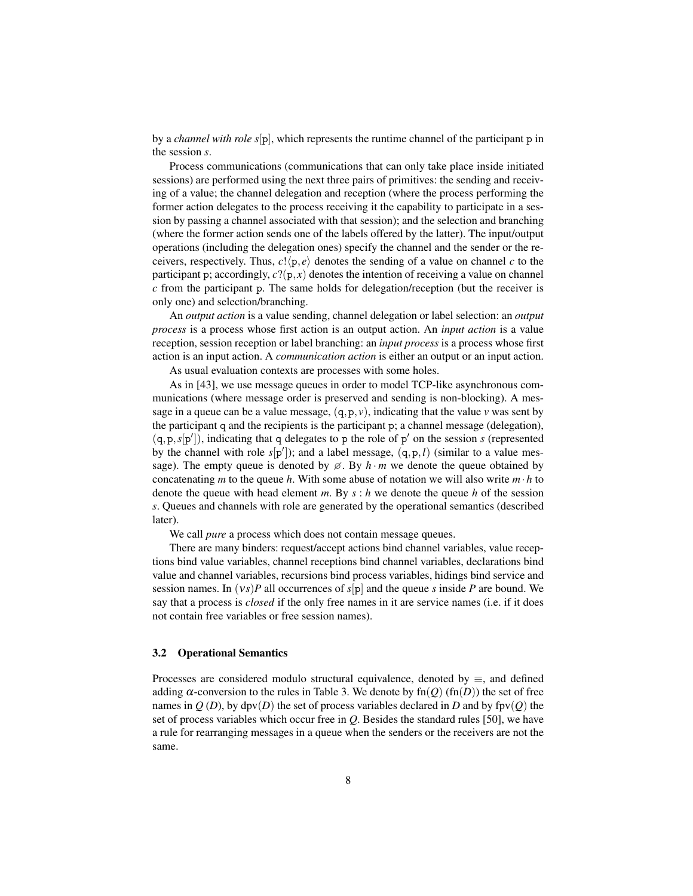by a *channel with role s*[p], which represents the runtime channel of the participant p in the session *s*.

Process communications (communications that can only take place inside initiated sessions) are performed using the next three pairs of primitives: the sending and receiving of a value; the channel delegation and reception (where the process performing the former action delegates to the process receiving it the capability to participate in a session by passing a channel associated with that session); and the selection and branching (where the former action sends one of the labels offered by the latter). The input/output operations (including the delegation ones) specify the channel and the sender or the receivers, respectively. Thus,  $c!(p, e)$  denotes the sending of a value on channel *c* to the participant p; accordingly,  $c$ ?( $p, x$ ) denotes the intention of receiving a value on channel *c* from the participant p. The same holds for delegation/reception (but the receiver is only one) and selection/branching.

An *output action* is a value sending, channel delegation or label selection: an *output process* is a process whose first action is an output action. An *input action* is a value reception, session reception or label branching: an *input process* is a process whose first action is an input action. A *communication action* is either an output or an input action.

As usual evaluation contexts are processes with some holes.

As in [43], we use message queues in order to model TCP-like asynchronous communications (where message order is preserved and sending is non-blocking). A message in a queue can be a value message,  $(q, p, v)$ , indicating that the value *v* was sent by the participant q and the recipients is the participant p; a channel message (delegation),  $(q, p, s[p'])$ , indicating that q delegates to p the role of p' on the session *s* (represented by the channel with role  $s[p']$ ); and a label message,  $(q, p, l)$  (similar to a value message). The empty queue is denoted by  $\emptyset$ . By  $h \cdot m$  we denote the queue obtained by concatenating *m* to the queue *h*. With some abuse of notation we will also write  $m \cdot h$  to denote the queue with head element *m*. By *s* : *h* we denote the queue *h* of the session *s*. Queues and channels with role are generated by the operational semantics (described later).

We call *pure* a process which does not contain message queues.

There are many binders: request/accept actions bind channel variables, value receptions bind value variables, channel receptions bind channel variables, declarations bind value and channel variables, recursions bind process variables, hidings bind service and session names. In (ν*s*)*P* all occurrences of *s*[p] and the queue *s* inside *P* are bound. We say that a process is *closed* if the only free names in it are service names (i.e. if it does not contain free variables or free session names).

#### 3.2 Operational Semantics

Processes are considered modulo structural equivalence, denoted by  $\equiv$ , and defined adding  $\alpha$ -conversion to the rules in Table 3. We denote by fn( $O$ ) (fn( $D$ )) the set of free names in  $Q(D)$ , by dpv $(D)$  the set of process variables declared in *D* and by fpv $(Q)$  the set of process variables which occur free in *Q*. Besides the standard rules [50], we have a rule for rearranging messages in a queue when the senders or the receivers are not the same.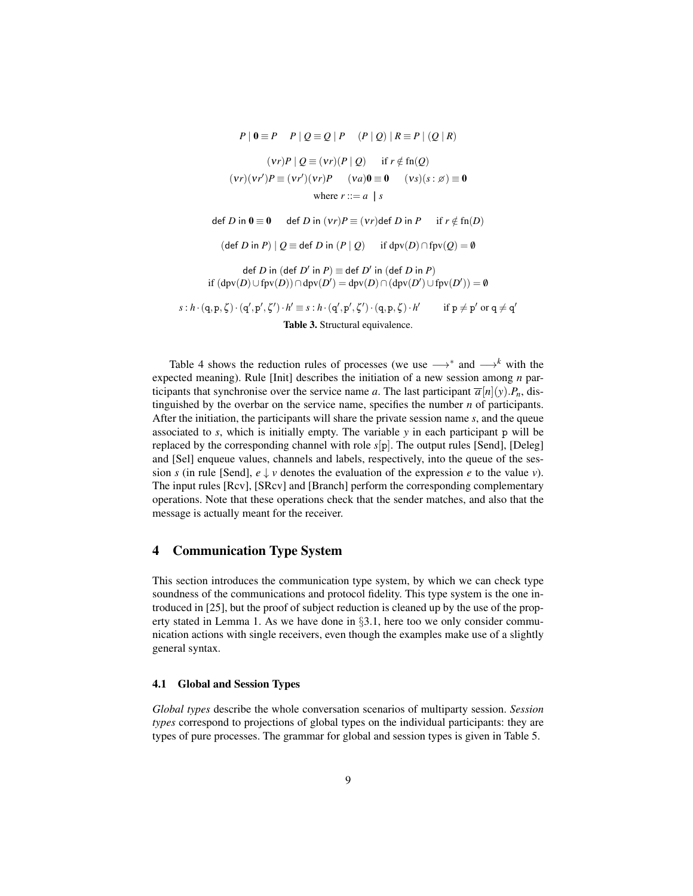$$
(vr)P | Q = (vr)(P | Q) \text{ if } r \notin \text{fn}(Q)
$$
  

$$
(vr)(vr')P = (vr')(vr)P \quad (va)0 = 0 \quad (vs)(s : \emptyset) = 0
$$
  
where  $r ::= a | s$   
def *D* in  $0 = 0$  def *D* in  $(vr)P = (vr) \text{def } D$  in *P* if  $r \notin \text{fn}(D)$   
(def *D* in *P*) |  $Q = \text{def } D$  in  $(P | Q)$  if  $\text{dpv}(D) \cap \text{fpv}(Q) = 0$   
def *D* in  $(\text{def } D' \text{ in } P) = \text{def } D' \text{ in } (\text{def } D \text{ in } P)$   
if  $(\text{dpv}(D) \cup \text{fpv}(D)) \cap \text{dpv}(D') = \text{dpv}(D) \cap (\text{dpv}(D') \cup \text{fpv}(D')) = 0$   
 $s : h \cdot (q, p, \zeta) \cdot (q', p', \zeta') \cdot h' = s : h \cdot (q', p', \zeta') \cdot (q, p, \zeta) \cdot h' \quad \text{if } p \neq p' \text{ or } q \neq q'$   
Table 3. Structural equivalence.

 $P | 0 = P$   $P | 0 = Q | P$   $(P | 0) | R = P | (Q | R)$ 

Table 4 shows the reduction rules of processes (we use  $\longrightarrow^*$  and  $\longrightarrow^k$  with the expected meaning). Rule [Init] describes the initiation of a new session among *n* participants that synchronise over the service name *a*. The last participant  $\overline{a}[n](y) \cdot P_n$ , distinguished by the overbar on the service name, specifies the number *n* of participants. After the initiation, the participants will share the private session name *s*, and the queue associated to *s*, which is initially empty. The variable *y* in each participant p will be replaced by the corresponding channel with role *s*[p]. The output rules [Send], [Deleg] and [Sel] enqueue values, channels and labels, respectively, into the queue of the session *s* (in rule [Send],  $e \downarrow v$  denotes the evaluation of the expression *e* to the value *v*). The input rules [Rcv], [SRcv] and [Branch] perform the corresponding complementary operations. Note that these operations check that the sender matches, and also that the message is actually meant for the receiver.

### 4 Communication Type System

This section introduces the communication type system, by which we can check type soundness of the communications and protocol fidelity. This type system is the one introduced in [25], but the proof of subject reduction is cleaned up by the use of the property stated in Lemma 1. As we have done in §3.1, here too we only consider communication actions with single receivers, even though the examples make use of a slightly general syntax.

#### 4.1 Global and Session Types

*Global types* describe the whole conversation scenarios of multiparty session. *Session types* correspond to projections of global types on the individual participants: they are types of pure processes. The grammar for global and session types is given in Table 5.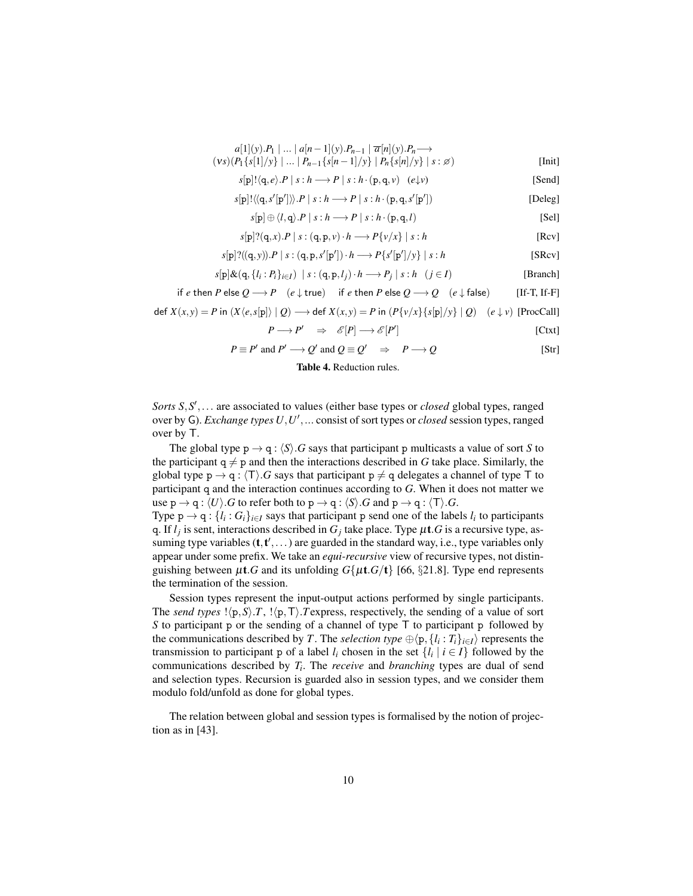$$
a[1](y).P_1 | ... | a[n-1](y).P_{n-1} | \overline{a}[n](y).P_n \longrightarrow
$$
  

$$
(vs)(P_1\{s[1]/y\} | ... | P_{n-1}\{s[n-1]/y\} | P_n\{s[n]/y\} | s : \emptyset)
$$
 [Init]

$$
s[p]!(q,e).P | s:h \longrightarrow P | s:h \cdot (p,q,\nu) \quad (e\downarrow \nu)
$$
 [Send]

$$
s[\mathbf{p}]\!!\langle\langle\mathbf{q},\mathbf{s}'[\mathbf{p}']\rangle\rangle\!\cdot\!\boldsymbol{P}\mid\mathbf{s}:h\longrightarrow\boldsymbol{P}\mid\mathbf{s}:h\cdot(\mathbf{p},\mathbf{q},\mathbf{s}'[\mathbf{p}'])
$$
 [Deleg]

$$
s[\mathbf{p}] \oplus \langle l, \mathbf{q} \rangle. P \mid s : h \longrightarrow P \mid s : h \cdot (\mathbf{p}, \mathbf{q}, l)
$$
 [Sel]

$$
s[\mathbf{p}]\mathbf{?}(\mathbf{q},x).P \mid s:(\mathbf{q},\mathbf{p},v)\cdot h \longrightarrow P\{v/x\} \mid s:h
$$
 [Rcv]

$$
s[\mathbf{p}]\mathbf{?}((\mathbf{q},\mathbf{y})).P \mid s : (\mathbf{q},\mathbf{p},s'[\mathbf{p}']) \cdot h \longrightarrow P\{s'[\mathbf{p}']/y\} \mid s : h
$$
 [SRcv]

$$
s[\mathbf{p}]\&(\mathbf{q},\{l_i:P_i\}_{i\in I}) \mid s:(\mathbf{q},\mathbf{p},l_j)\cdot h\longrightarrow P_j \mid s:h \ (j\in I)
$$
 [Branch]

$$
\text{if } e \text{ then } P \text{ else } Q \longrightarrow P \quad (e \downarrow \text{true}) \quad \text{ if } e \text{ then } P \text{ else } Q \longrightarrow Q \quad (e \downarrow \text{false}) \qquad \text{ [If-T, If-F]}
$$

$$
\text{def } X(x,y) = P \text{ in } (X \langle e, s[p] \rangle \mid Q) \longrightarrow \text{def } X(x,y) = P \text{ in } (P\{v/x\} \{s[p]/y\} \mid Q) \quad (e \downarrow v) \text{ [ProcCall]}
$$

$$
P \longrightarrow P' \quad \Rightarrow \quad \mathcal{E}[P] \longrightarrow \mathcal{E}[P'] \tag{Ctxt}
$$

$$
P \equiv P' \text{ and } P' \longrightarrow Q' \text{ and } Q \equiv Q' \Rightarrow P \longrightarrow Q \qquad [Str]
$$

#### Table 4. Reduction rules.

Sorts S, S',... are associated to values (either base types or *closed* global types, ranged over by G). *Exchange types U*, *U'*, ... consist of sort types or *closed* session types, ranged over by T.

The global type  $p \rightarrow q : \langle S \rangle$ . *G* says that participant p multicasts a value of sort *S* to the participant  $q \neq p$  and then the interactions described in *G* take place. Similarly, the global type  $p \rightarrow q$ :  $\langle T \rangle$ *.G* says that participant  $p \neq q$  delegates a channel of type T to participant q and the interaction continues according to *G*. When it does not matter we use  $p \rightarrow q : \langle U \rangle$ .*G* to refer both to  $p \rightarrow q : \langle S \rangle$ .*G* and  $p \rightarrow q : \langle T \rangle$ .*G*.

Type  $p \rightarrow q$ : { $l_i$  :  $G_i$ } $_{i \in I}$  says that participant p send one of the labels  $l_i$  to participants q. If  $l_j$  is sent, interactions described in  $G_j$  take place. Type  $\mu$ t. G is a recursive type, assuming type variables  $(t, t', \dots)$  are guarded in the standard way, i.e., type variables only appear under some prefix. We take an *equi-recursive* view of recursive types, not distinguishing between  $\mu$ t.*G* and its unfolding  $G\{\mu$ t.*G*/t} [66, §21.8]. Type end represents the termination of the session.

Session types represent the input-output actions performed by single participants. The *send types*  $!(p, S), T, !(p, T)$ . Texpress, respectively, the sending of a value of sort *S* to participant p or the sending of a channel of type T to participant p followed by the communications described by *T*. The *selection type*  $\oplus \langle p, \{l_i : T_i\}_{i \in I} \rangle$  represents the transmission to participant p of a label  $l_i$  chosen in the set  $\{l_i \mid i \in I\}$  followed by the communications described by *T<sup>i</sup>* . The *receive* and *branching* types are dual of send and selection types. Recursion is guarded also in session types, and we consider them modulo fold/unfold as done for global types.

The relation between global and session types is formalised by the notion of projection as in [43].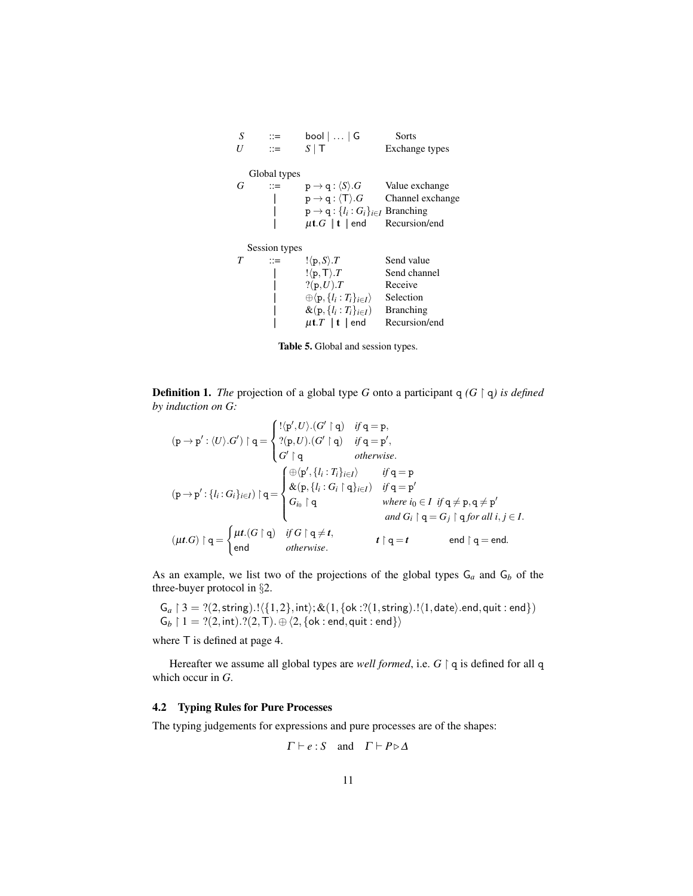| Exchange types   |
|------------------|
|                  |
|                  |
| Channel exchange |
|                  |
|                  |
|                  |
|                  |
|                  |
|                  |
|                  |
|                  |
|                  |
|                  |



**Definition 1.** *The* projection of a global type *G* onto a participant  $q$  ( $G \restriction q$ ) is defined *by induction on G:*

$$
(p \rightarrow p': \langle U \rangle . G') \upharpoonright q = \begin{cases} !\langle p', U \rangle . (G' \upharpoonright q) & \text{if } q = p, \\ ?(p, U) . (G' \upharpoonright q) & \text{if } q = p', \\ G' \upharpoonright q & \text{otherwise.} \end{cases}
$$
\n
$$
(p \rightarrow p': \{l_i : G_i\}_{i \in I}) \upharpoonright q = \begin{cases} \bigoplus (p', \{l_i : T_i\}_{i \in I}) & \text{if } q = p \\ \& (p, \{l_i : G_i \} \upharpoonright q) & \text{if } q = p' \\ G_{i_0} \upharpoonright q & \text{where } i_0 \in I \text{ if } q \neq p, q \neq p' \\ G_{i_0} \upharpoonright q & \text{where } i_0 \in I \text{ if } q \neq p, q \neq p' \\ \text{and } G_i \upharpoonright q = G_j \upharpoonright q \text{ for all } i, j \in I. \end{cases}
$$
\n
$$
( \mu t. G ) \upharpoonright q = \begin{cases} \mu t. (G \upharpoonright q) & \text{if } G \upharpoonright q \neq t, \\ end \upharpoonright q = t & \text{end } q = end. \end{cases}
$$

As an example, we list two of the projections of the global types  $G_a$  and  $G_b$  of the three-buyer protocol in §2.

 $G_a \restriction 3 = ?(2, \text{string}).! \langle \{1,2\}, \text{int} \rangle; \& (1, \{\text{ok} : ?(1, \text{string}).! \langle 1, \text{date} \rangle.\text{end}, \text{quit} : \text{end} \} )$  $\mathsf{G}_b \restriction 1 = ?(2, \mathsf{int}). ?(2, \mathsf{T}). \oplus \langle 2, \{\mathsf{ok} : \mathsf{end}, \mathsf{quit} : \mathsf{end}\} \rangle$ 

where T is defined at page 4.

Hereafter we assume all global types are *well formed*, i.e. *G*  $\upharpoonright$  q is defined for all q which occur in *G*.

#### 4.2 Typing Rules for Pure Processes

The typing judgements for expressions and pure processes are of the shapes:

$$
\Gamma \vdash e : S
$$
 and  $\Gamma \vdash P \triangleright \Delta$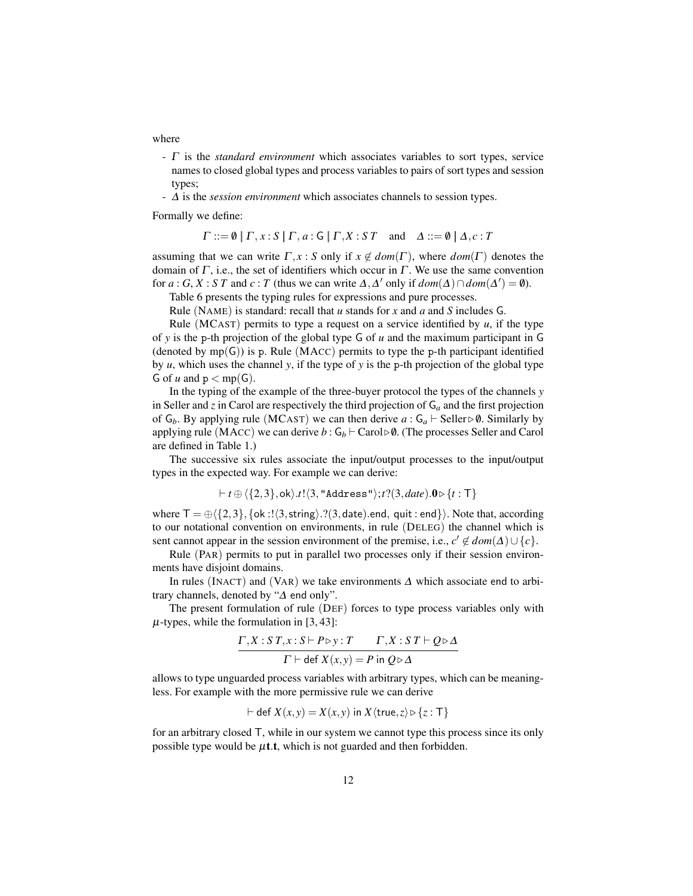where

- Γ is the *standard environment* which associates variables to sort types, service names to closed global types and process variables to pairs of sort types and session types;
- ∆ is the *session environment* which associates channels to session types.

Formally we define:

 $\Gamma ::= \emptyset \mid \Gamma, x : S \mid \Gamma, a : G \mid \Gamma, X : S \Gamma \text{ and } \Delta ::= \emptyset \mid \Delta, c : T$ 

assuming that we can write  $\Gamma, x : S$  only if  $x \notin dom(\Gamma)$ , where  $dom(\Gamma)$  denotes the domain of  $\Gamma$ , i.e., the set of identifiers which occur in  $\Gamma$ . We use the same convention for *a* : *G*, *X* : *S T* and *c* : *T* (thus we can write  $\Delta$ ,  $\Delta'$  only if  $dom(\Delta') \cap dom(\Delta') = \emptyset$ ).

Table 6 presents the typing rules for expressions and pure processes.

Rule (NAME) is standard: recall that *u* stands for *x* and *a* and *S* includes G.

Rule (MCAST) permits to type a request on a service identified by  $u$ , if the type of *y* is the p-th projection of the global type G of *u* and the maximum participant in G (denoted by  $mp(G)$ ) is p. Rule (MACC) permits to type the p-th participant identified by  $u$ , which uses the channel  $y$ , if the type of  $y$  is the p-th projection of the global type G of *u* and  $p < mp(G)$ .

In the typing of the example of the three-buyer protocol the types of the channels *y* in Seller and *z* in Carol are respectively the third projection of G*<sup>a</sup>* and the first projection of  $G_b$ . By applying rule (MCAST) we can then derive  $a: G_a \vdash$  Seller  $\triangleright \emptyset$ . Similarly by applying rule (MACC) we can derive  $b : G_b \vdash \text{Carol} \triangleright \emptyset$ . (The processes Seller and Carol are defined in Table 1.)

The successive six rules associate the input/output processes to the input/output types in the expected way. For example we can derive:

 $t \mapsto \langle \{2,3\},\text{ok}\rangle.t.\langle 3,\text{"Address"}\rangle; t?$  $(3,date).0 \triangleright \{t : \top\}$ 

where  $T = \bigoplus \{\{2,3\},\{\text{ok}:\exists \langle 3,\text{string}\rangle\}.\}$  ate).end, quit : end  $\}$ . Note that, according to our notational convention on environments, in rule (DELEG) the channel which is sent cannot appear in the session environment of the premise, i.e.,  $c' \notin dom(\Delta) \cup \{c\}$ .

Rule (PAR) permits to put in parallel two processes only if their session environments have disjoint domains.

In rules (INACT) and (VAR) we take environments  $\Delta$  which associate end to arbitrary channels, denoted by "∆ end only".

The present formulation of rule (DEF) forces to type process variables only with  $\mu$ -types, while the formulation in [3, 43]:

$$
\frac{\Gamma X : S T, x : S \vdash P \triangleright y : T \qquad \Gamma, X : S T \vdash Q \triangleright \Delta}{\Gamma \vdash \text{def } X(x, y) = P \text{ in } Q \triangleright \Delta}
$$

allows to type unguarded process variables with arbitrary types, which can be meaningless. For example with the more permissive rule we can derive

$$
\vdash \text{def } X(x, y) = X(x, y) \text{ in } X \langle \text{true}, z \rangle \triangleright \{z : \text{T}\}
$$

for an arbitrary closed T, while in our system we cannot type this process since its only possible type would be  $\mu$ t.t, which is not guarded and then forbidden.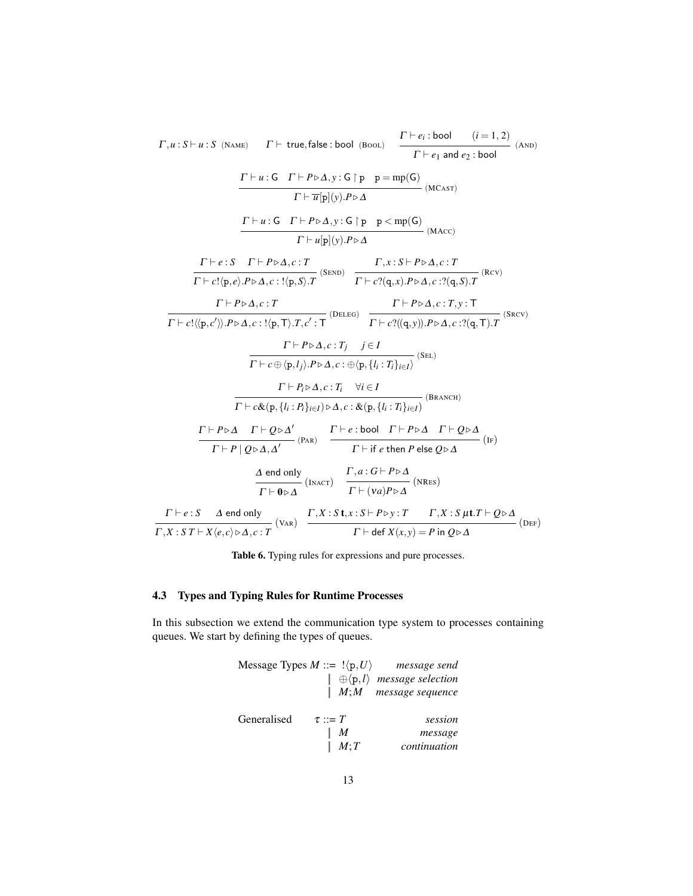$$
\Gamma, u: S \vdash u: S \text{ (NAME)} \quad \Gamma \vdash \text{true, false: bool (Boot)} \quad \frac{\Gamma \vdash e_i: \text{bool} \quad (i = 1, 2)}{\Gamma \vdash e_1 \text{ and } e_2: \text{bool}} \quad \text{(AND)}
$$
\n
$$
\frac{\Gamma \vdash u: G \quad \Gamma \vdash P \triangleright \Delta, y: G \upharpoonright p \quad p = mp(G)}{\Gamma \vdash \pi[p](y).P \triangleright \Delta} \quad \text{(MCast)}
$$
\n
$$
\frac{\Gamma \vdash u: G \quad \Gamma \vdash P \triangleright \Delta, y: G \upharpoonright p \quad P \triangle \text{mp}(G)}{\Gamma \vdash \mu[p](y).P \triangleright \Delta} \quad \text{(MAC)}
$$
\n
$$
\frac{\Gamma \vdash e: S \quad \Gamma \vdash P \triangleright \Delta, c: T \quad \Gamma, x: S \vdash P \triangleright \Delta, c: T}{\Gamma \vdash c!(p,e).P \triangleright \Delta, c: !\langle p, S \rangle. T} \quad \text{(SEND)} \quad \frac{\Gamma \vdash c \cdot q(x).P \triangleright \Delta, c: ?\langle q, S \rangle. T}{\Gamma \vdash c \cdot q(x).P \triangleright \Delta, c: ?\langle q, S \rangle. T} \quad \text{(Bcv)}
$$
\n
$$
\frac{\Gamma \vdash P \triangleright \Delta, c: T \quad \Gamma \vdash P \triangleright \Delta, c: T, y: T}{\Gamma \vdash c \cdot P \triangleright \Delta, c: !\langle p, T \rangle. T, c': T} \quad \text{(DELEG)} \quad \frac{\Gamma \vdash P \triangleright \Delta, c: T, y: T}{\Gamma \vdash c \cdot P \bigtriangleup \text{, } C : T, y: P \triangle \text{(I)} \quad \text{(SEL)}} \quad \text{(SEL)}
$$
\n
$$
\frac{\Gamma \vdash P \triangleright \Delta, c: T, \quad \forall i \in I}{\Gamma \vdash c \cdot P \bigtriangleup \text{, } U_i: P_i \bigtriangleup \text{, } C : \& (p, \{l_i : T_i\}_{i \in I})} \quad \text{(BRANCH)}
$$
\n
$$
\frac{\Gamma \vdash P \triangleright \Delta \quad \Gamma \vdash Q \triangleright \Delta, c: T, \quad \forall i \in I}{\Gamma \vdash c \cdot P \bigtriangleup \text{, } U_i: P
$$

Table 6. Typing rules for expressions and pure processes.

## 4.3 Types and Typing Rules for Runtime Processes

In this subsection we extend the communication type system to processes containing queues. We start by defining the types of queues.

|             |              | Message Types $M ::=  \langle p, U \rangle$ message send |
|-------------|--------------|----------------------------------------------------------|
|             |              | $\vert \oplus \langle p, l \rangle$ message selection    |
|             |              | $ M; M$ message sequence                                 |
| Generalised | $\tau ::= T$ | session                                                  |
|             | M            | message                                                  |
|             | M;T          | continuation                                             |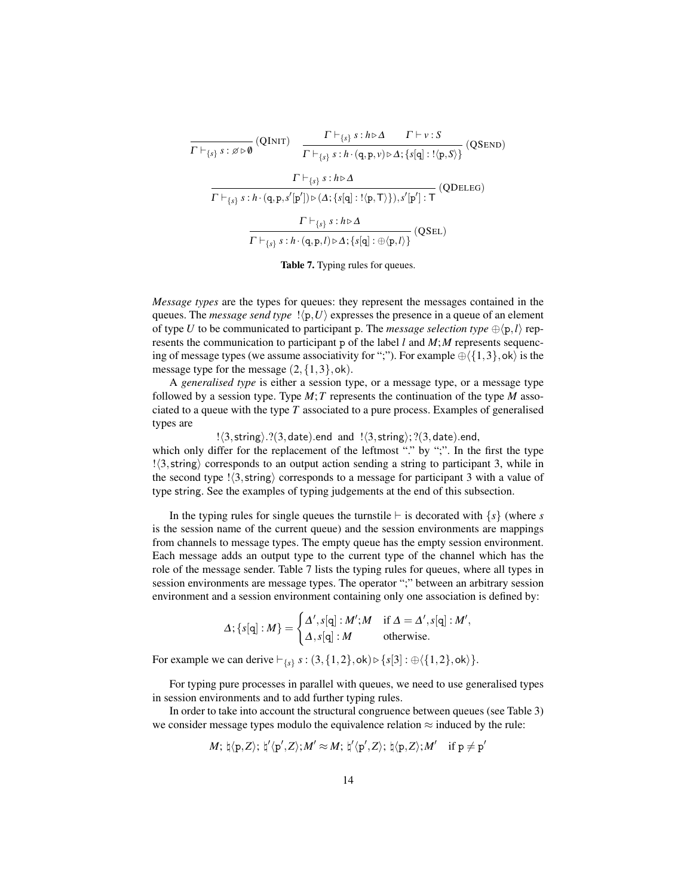$$
\frac{\Gamma\vdash_{\{s\}} s:h\triangleright\Delta\qquad\Gamma\vdash v:S}{\Gamma\vdash_{\{s\}} s:h\triangleright\Delta\qquad\Gamma\vdash v:S}\quad\text{(QSEND)}
$$
\n
$$
\frac{\Gamma\vdash_{\{s\}} s:h\triangleright\Delta}{\Gamma\vdash_{\{s\}} s:h\triangleright\Delta}
$$
\n
$$
\frac{\Gamma\vdash_{\{s\}} s:h\triangleright\Delta}{\Gamma\vdash_{\{s\}} s:h\cdot(\mathbf{q},\mathbf{p},s'[\mathbf{p'])}\triangleright(\Delta;\{s[\mathbf{q}]:!(\mathbf{p},\mathbf{T})\}),s'[\mathbf{p}']:\mathbf{T}}\quad\text{(QDELEG)}
$$
\n
$$
\frac{\Gamma\vdash_{\{s\}} s:h\triangleright\Delta}{\Gamma\vdash_{\{s\}} s:h\cdot(\mathbf{q},\mathbf{p},l)\triangleright\Delta;\{s[\mathbf{q}]:\oplus\langle\mathbf{p},l\rangle\}}\quad\text{(QSEL)}
$$

Table 7. Typing rules for queues.

*Message types* are the types for queues: they represent the messages contained in the queues. The *message send type*  $\vert \langle p, U \rangle$  expresses the presence in a queue of an element of type *U* to be communicated to participant p. The *message selection type*  $\oplus \langle p, l \rangle$  represents the communication to participant p of the label *l* and *M*;*M* represents sequencing of message types (we assume associativity for ";"). For example  $\oplus \langle \{1,3\}, \mathsf{ok} \rangle$  is the message type for the message  $(2, \{1,3\}, \text{ok})$ .

A *generalised type* is either a session type, or a message type, or a message type followed by a session type. Type  $M$ ; T represents the continuation of the type  $M$  associated to a queue with the type *T* associated to a pure process. Examples of generalised types are

 $! \langle 3, \text{string} \rangle$ .? $(3, \text{date})$ .end and  $! \langle 3, \text{string} \rangle$ ; ? $(3, \text{date})$ .end, which only differ for the replacement of the leftmost "." by ";". In the first the type  $\langle 3,$ string) corresponds to an output action sending a string to participant 3, while in the second type  $\frac{1}{3}$ , string) corresponds to a message for participant 3 with a value of type string. See the examples of typing judgements at the end of this subsection.

In the typing rules for single queues the turnstile  $\vdash$  is decorated with  $\{s\}$  (where *s* is the session name of the current queue) and the session environments are mappings from channels to message types. The empty queue has the empty session environment. Each message adds an output type to the current type of the channel which has the role of the message sender. Table 7 lists the typing rules for queues, where all types in session environments are message types. The operator ";" between an arbitrary session environment and a session environment containing only one association is defined by:

$$
\Delta; \{s[\mathbf{q}]:M\} = \begin{cases} \Delta', s[\mathbf{q}]:M'; M & \text{if } \Delta = \Delta', s[\mathbf{q}]:M', \\ \Delta, s[\mathbf{q}]:M & \text{otherwise.} \end{cases}
$$

For example we can derive  $\vdash_{\{s\}} s : (3, \{1,2\}, \text{ok}) \triangleright \{s[3] : \oplus \langle \{1,2\}, \text{ok}\rangle\}.$ 

For typing pure processes in parallel with queues, we need to use generalised types in session environments and to add further typing rules.

In order to take into account the structural congruence between queues (see Table 3) we consider message types modulo the equivalence relation  $\approx$  induced by the rule:

$$
M; \, \natural \langle p, Z \rangle; \, \natural' \langle p', Z \rangle; M' \approx M; \, \natural' \langle p', Z \rangle; \, \natural \langle p, Z \rangle; M' \quad \text{if } p \neq p'
$$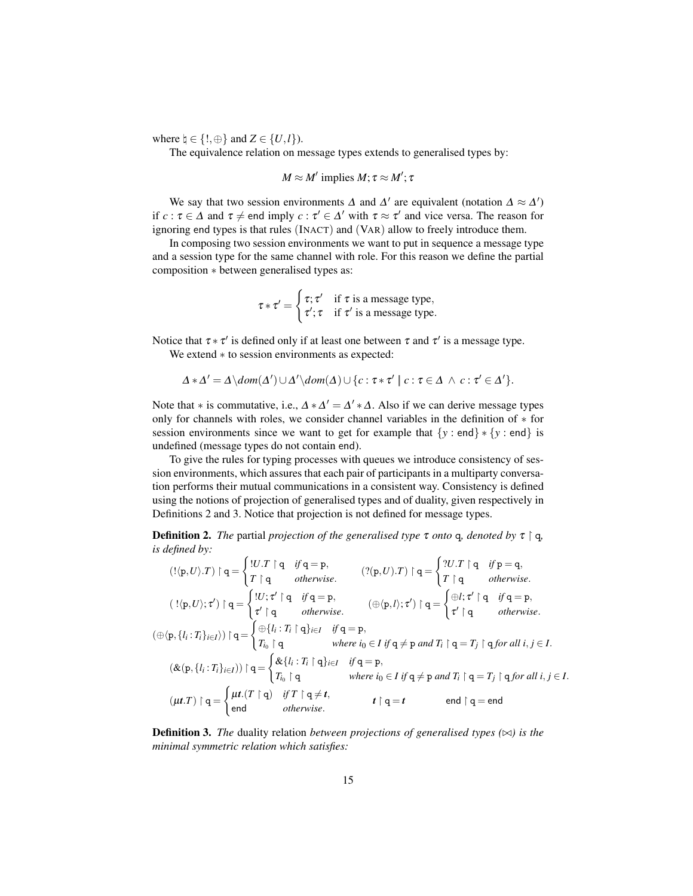where  $\natural \in \{!, \oplus\}$  and  $Z \in \{U, l\}$ ).

The equivalence relation on message types extends to generalised types by:

 $M \approx M'$  implies  $M; \tau \approx M'; \tau$ 

We say that two session environments  $\Delta$  and  $\Delta'$  are equivalent (notation  $\Delta \approx \Delta'$ ) if  $c: \tau \in \Delta$  and  $\tau \neq$  end imply  $c: \tau' \in \Delta'$  with  $\tau \approx \tau'$  and vice versa. The reason for ignoring end types is that rules (INACT) and (VAR) allow to freely introduce them.

In composing two session environments we want to put in sequence a message type and a session type for the same channel with role. For this reason we define the partial composition ∗ between generalised types as:

$$
\tau * \tau' = \begin{cases} \tau; \tau' & \text{if } \tau \text{ is a message type,} \\ \tau'; \tau & \text{if } \tau' \text{ is a message type.} \end{cases}
$$

Notice that  $\tau * \tau'$  is defined only if at least one between  $\tau$  and  $\tau'$  is a message type. We extend ∗ to session environments as expected:

$$
\Delta * \Delta' = \Delta \setminus dom(\Delta') \cup \Delta' \setminus dom(\Delta) \cup \{c : \tau * \tau' \mid c : \tau \in \Delta \land c : \tau' \in \Delta'\}.
$$

Note that  $*$  is commutative, i.e.,  $\Delta * \Delta' = \Delta' * \Delta$ . Also if we can derive message types only for channels with roles, we consider channel variables in the definition of ∗ for session environments since we want to get for example that {*y* : end} ∗ {*y* : end} is undefined (message types do not contain end).

To give the rules for typing processes with queues we introduce consistency of session environments, which assures that each pair of participants in a multiparty conversation performs their mutual communications in a consistent way. Consistency is defined using the notions of projection of generalised types and of duality, given respectively in Definitions 2 and 3. Notice that projection is not defined for message types.

**Definition 2.** *The* partial *projection of the generalised type*  $\tau$  *onto* q, *denoted by*  $\tau \upharpoonright q$ *, is defined by:*

$$
(\langle \mathbf{p}, U \rangle \cdot T) \upharpoonright \mathbf{q} = \begin{cases} |U, T \upharpoonright \mathbf{q} & \text{if } \mathbf{q} = \mathbf{p}, \\ T \upharpoonright \mathbf{q} & \text{otherwise.} \end{cases} \quad (?(\mathbf{p}, U) \cdot T) \upharpoonright \mathbf{q} = \begin{cases} |U, \tau' \upharpoonright \mathbf{q} & \text{otherwise.} \\ T \upharpoonright \mathbf{q} & \text{otherwise.} \end{cases}
$$

$$
(\exists \langle \mathbf{p}, U \rangle; \tau') \upharpoonright \mathbf{q} = \begin{cases} |U, \tau' \upharpoonright \mathbf{q} & \text{if } \mathbf{q} = \mathbf{p}, \\ \tau' \upharpoonright \mathbf{q} & \text{otherwise.} \end{cases} \quad (\oplus \langle \mathbf{p}, l \rangle; \tau') \upharpoonright \mathbf{q} = \begin{cases} \oplus \{i, \tau' \upharpoonright \mathbf{q} & \text{if } \mathbf{q} = \mathbf{p}, \\ \tau' \upharpoonright \mathbf{q} & \text{otherwise.} \end{cases}
$$

$$
(\oplus \langle \mathbf{p}, \{l_i : T_i\}_{i \in I}) \rangle \upharpoonright \mathbf{q} = \begin{cases} \oplus \{l_i : T_i \upharpoonright \mathbf{q}\}_{i \in I} & \text{if } \mathbf{q} = \mathbf{p}, \\ T_{i_0} \upharpoonright \mathbf{q} & \text{where } i_0 \in I \text{ if } \mathbf{q} \neq \mathbf{p} \text{ and } T_i \upharpoonright \mathbf{q} = T_j \upharpoonright \mathbf{q} \text{ for all } i, j \in I. \end{cases}
$$

$$
(\& (\mathbf{p}, \{l_i : T_i\}_{i \in I}) \rangle \upharpoonright \mathbf{q} = \begin{cases} \& \{l_i : T_i \upharpoonright \mathbf{q}\}_{i \in I} & \text{if } \mathbf{q} = \mathbf{p}, \\ T_{i_0} \upharpoonright \mathbf{q} & \text{where } i_0 \in I \text{ if } \mathbf{q} \neq \mathbf{p} \text{ and } T_i \upharpoonright \mathbf{q} = T_j \upharpoonright \mathbf{q} \text
$$

**Definition 3.** *The* duality relation *between projections of generalised types*  $(\infty)$  *is the minimal symmetric relation which satisfies:*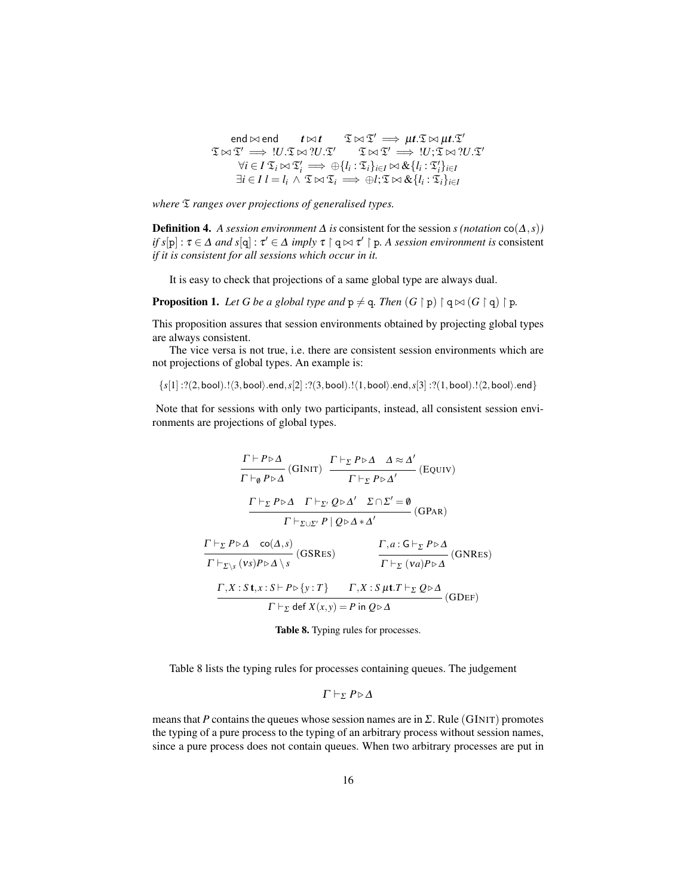$$
\mathfrak{Ind} \bowtie \mathfrak{end} \qquad t \bowtie t \qquad \mathfrak{T} \bowtie \mathfrak{T}' \implies \mu t. \mathfrak{T} \bowtie \mu t. \mathfrak{T}'
$$
\n
$$
\mathfrak{T} \bowtie \mathfrak{T}' \implies !U. \mathfrak{T} \bowtie ?U. \mathfrak{T}' \qquad \mathfrak{T} \bowtie \mathfrak{T}' \implies !U; \mathfrak{T} \bowtie ?U. \mathfrak{T}'
$$
\n
$$
\forall i \in I \; \mathfrak{T}_i \bowtie \mathfrak{T}'_i \implies \oplus \{l_i : \mathfrak{T}_i\}_{i \in I} \bowtie \& \{l_i : \mathfrak{T}'_i\}_{i \in I}
$$
\n
$$
\exists i \in I \; l = l_i \land \mathfrak{T} \bowtie \mathfrak{T}_i \implies \oplus l; \mathfrak{T} \bowtie \& \{l_i : \mathfrak{T}_i\}_{i \in I}
$$

*where* T *ranges over projections of generalised types.*

**Definition 4.** *A session environment*  $\Delta$  *is* consistent for the session *s* (*notation* co( $\Delta$ *, s*)) *if*  $s[p]: \tau \in \Delta$  *and*  $s[q]: \tau' \in \Delta$  *imply*  $\tau \upharpoonright q \bowtie \tau' \upharpoonright p$ . A session environment is consistent *if it is consistent for all sessions which occur in it.*

It is easy to check that projections of a same global type are always dual.

**Proposition 1.** Let G be a global type and  $p \neq q$ . Then  $(G \restriction p) \restriction q \bowtie (G \restriction q) \restriction p$ .

This proposition assures that session environments obtained by projecting global types are always consistent.

The vice versa is not true, i.e. there are consistent session environments which are not projections of global types. An example is:

 ${s[1]} : ?(2, \text{bool})$ .! $(3, \text{bool})$ .end, $s[2] : ?(3, \text{bool})$ .! $(1, \text{bool})$ .end, $s[3] : ?(1, \text{bool})$ .! $(2, \text{bool})$ .end}

Note that for sessions with only two participants, instead, all consistent session environments are projections of global types.

$$
\frac{\Gamma \vdash P \triangleright \Delta}{\Gamma \vdash_{\emptyset} P \triangleright \Delta} \text{(GINT)} \quad \frac{\Gamma \vdash_{\Sigma} P \triangleright \Delta \quad \Delta \approx \Delta'}{\Gamma \vdash_{\Sigma} P \triangleright \Delta'} \text{(EQUIV)}
$$
\n
$$
\frac{\Gamma \vdash_{\Sigma} P \triangleright \Delta \quad \Gamma \vdash_{\Sigma'} Q \triangleright \Delta'}{\Gamma \vdash_{\Sigma \cup \Sigma'} P \mid Q \triangleright \Delta * \Delta'} \text{(GPAR)}
$$
\n
$$
\frac{\Gamma \vdash_{\Sigma} P \triangleright \Delta \quad \text{co}(\Delta, s)}{\Gamma \vdash_{\Sigma \setminus s} (vs) P \triangleright \Delta \setminus s} \text{(GSRES)} \quad \frac{\Gamma, a: G \vdash_{\Sigma} P \triangleright \Delta}{\Gamma \vdash_{\Sigma} (va) P \triangleright \Delta} \text{(GNRES)}
$$
\n
$$
\frac{\Gamma, X: S \mathbf{t}, x: S \vdash P \triangleright \{y: T\} \quad \Gamma, X: S \mu \mathbf{t}. T \vdash_{\Sigma} Q \triangleright \Delta}{\Gamma \vdash_{\Sigma} \text{def } X(x, y) = P \text{ in } Q \triangleright \Delta} \text{(GDEF)}
$$

Table 8. Typing rules for processes.

Table 8 lists the typing rules for processes containing queues. The judgement

$$
\Gamma\vdash_{\Sigma} P\triangleright\Delta
$$

means that *P* contains the queues whose session names are in  $\Sigma$ . Rule (GINIT) promotes the typing of a pure process to the typing of an arbitrary process without session names, since a pure process does not contain queues. When two arbitrary processes are put in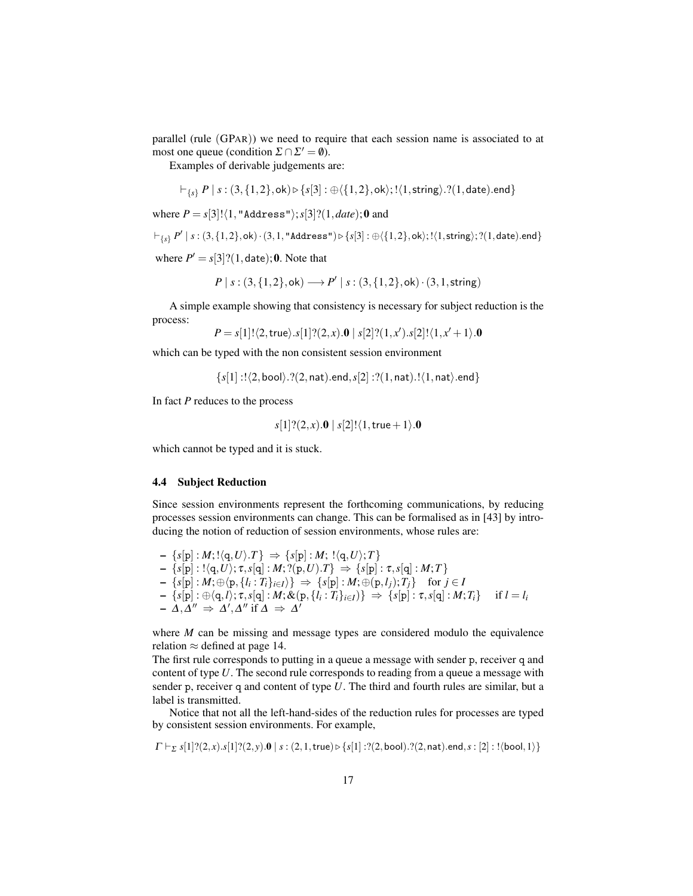parallel (rule (GPAR)) we need to require that each session name is associated to at most one queue (condition  $\Sigma \cap \Sigma' = \emptyset$ ).

Examples of derivable judgements are:

$$
\vdash_{\{s\}} P \mid s:(3,\{1,2\}, \mathsf{ok}) \rhd \{s[3]: \oplus \langle \{1,2\}, \mathsf{ok} \rangle; ! \langle 1, \mathsf{string} \rangle. ? (1, \mathsf{date}).\mathsf{end}\}
$$

where  $P = s[3]!(1, "Address"); s[3]!(1, date); 0$  and

$$
\vdash_{\{s\}} P' \mid s:(3,\{1,2\}, \mathsf{ok}) \cdot (3,1, \texttt{"Address"}) \triangleright \{s[3]: \oplus \langle \{1,2\}, \mathsf{ok} \rangle; ! \langle 1, \mathsf{string} \rangle; ? (1, \mathsf{date}).\mathsf{end} \}
$$

where  $P' = s[3]$ ?(1, date); 0. Note that

$$
P | s: (3, {1,2}, \text{ok}) \longrightarrow P' | s: (3, {1,2}, \text{ok}) \cdot (3, 1, \text{string})
$$

A simple example showing that consistency is necessary for subject reduction is the process:

$$
P=s[1]!\langle 2, \mathsf{true}\rangle .s[1] ? (2, x).\mathbf{0} \mid s[2] ? (1, x' ).s[2] ! \langle 1, x'+1\rangle .\mathbf{0}
$$

which can be typed with the non consistent session environment

 $\{s[1] : !\langle 2, \text{bool} \rangle. ?(2, \text{nat}).\text{end}, s[2] : ?(1, \text{nat}).! \langle 1, \text{nat} \rangle. \text{end}\}$ 

In fact *P* reduces to the process

$$
s[1]?(2,x).0 | s[2]!\langle 1, \mathsf{true}+1 \rangle.0
$$

which cannot be typed and it is stuck.

#### 4.4 Subject Reduction

Since session environments represent the forthcoming communications, by reducing processes session environments can change. This can be formalised as in [43] by introducing the notion of reduction of session environments, whose rules are:

 $- \{s[p]: M; !\langle q, U \rangle .T\} \Rightarrow \{s[p]: M; !\langle q, U \rangle ;T\}$  $- \{s[\mathbf{p}] : !\langle \mathbf{q}, U \rangle; \tau, s[\mathbf{q}] : M; ?(\mathbf{p}, U) . T\} \Rightarrow \{s[\mathbf{p}] : \tau, s[\mathbf{q}] : M; T\}$  $\{s[\mathbf{p}] : M; \oplus \langle \mathbf{p}, \{l_i : T_i\}_{i \in I} \rangle\} \Rightarrow \{s[\mathbf{p}] : M; \oplus (\mathbf{p}, l_j); T_j\} \quad \text{for } j \in I$  $\{s[\mathbf{p}] : \oplus \langle \mathbf{q}, l \rangle; \tau, s[\mathbf{q}] : M; \&(\mathbf{p},\{l_i:T_i\}_{i\in I})\} \Rightarrow \{s[\mathbf{p}] : \tau, s[\mathbf{q}] : M; T_i\} \quad\text{ if } l=l_i\}.$  $-\Delta, \Delta'' \Rightarrow \Delta', \Delta'' \text{ if } \Delta \Rightarrow \Delta'$ 

where *M* can be missing and message types are considered modulo the equivalence relation  $\approx$  defined at page 14.

The first rule corresponds to putting in a queue a message with sender p, receiver q and content of type *U*. The second rule corresponds to reading from a queue a message with sender p, receiver q and content of type *U*. The third and fourth rules are similar, but a label is transmitted.

Notice that not all the left-hand-sides of the reduction rules for processes are typed by consistent session environments. For example,

 $\Gamma \vdash_{\Sigma} s[1]$ ? $(2, x)$ . $s[1]$ ? $(2, y)$ .0 |  $s : (2, 1, true) \triangleright \{s[1] : ?(2, \text{bool})$ .? $(2, \text{nat})$ .end, $s : [2] : ! \langle \text{bool}, 1 \rangle\}$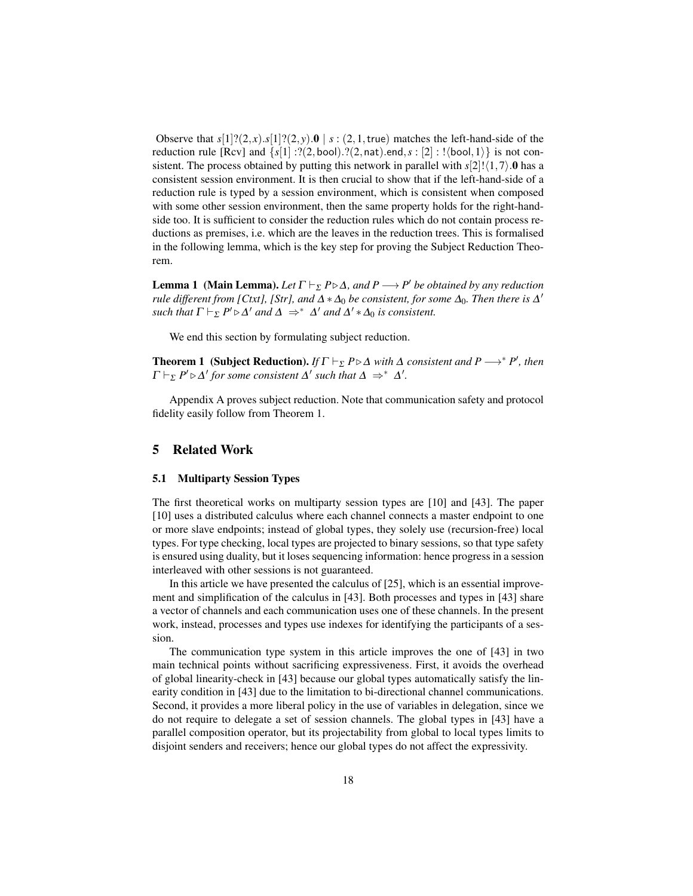Observe that  $s[1]$ ? $(2, x)$ . $s[1]$ ? $(2, y)$ . $\mathbf{0}$  |  $s: (2, 1, \text{true})$  matches the left-hand-side of the reduction rule [Rcv] and  $\{s[1]: ?(2, \text{bool})\}$ .?(2, nat).end,  $s : [2] : ! \langle \text{bool}, 1 \rangle\}$  is not consistent. The process obtained by putting this network in parallel with  $s[2]!(1,7)$ .0 has a consistent session environment. It is then crucial to show that if the left-hand-side of a reduction rule is typed by a session environment, which is consistent when composed with some other session environment, then the same property holds for the right-handside too. It is sufficient to consider the reduction rules which do not contain process reductions as premises, i.e. which are the leaves in the reduction trees. This is formalised in the following lemma, which is the key step for proving the Subject Reduction Theorem.

**Lemma 1** (Main Lemma). Let  $\Gamma \vdash_{\Sigma} P \triangleright \Delta$ , and  $P \longrightarrow P'$  be obtained by any reduction *rule different from [Ctxt], [Str], and*  $\Delta * \Delta_0$  *be consistent, for some*  $\Delta_0$ *. Then there is*  $\Delta'$ *such that*  $\Gamma \vdash_{\Sigma} P' \triangleright \Delta'$  *and*  $\Delta \Rightarrow^* \Delta'$  *and*  $\Delta' * \Delta_0$  *is consistent.* 

We end this section by formulating subject reduction.

**Theorem 1** (Subject Reduction). *If*  $\Gamma \vdash_{\Sigma} P \triangleright \Delta$  *with*  $\Delta$  *consistent and*  $P \longrightarrow^* P'$ *, then*  $\Gamma \vdash_{\Sigma} P' \triangleright \Delta'$  for some consistent  $\Delta'$  such that  $\Delta \Rightarrow^* \Delta'.$ 

Appendix A proves subject reduction. Note that communication safety and protocol fidelity easily follow from Theorem 1.

## 5 Related Work

#### 5.1 Multiparty Session Types

The first theoretical works on multiparty session types are [10] and [43]. The paper [10] uses a distributed calculus where each channel connects a master endpoint to one or more slave endpoints; instead of global types, they solely use (recursion-free) local types. For type checking, local types are projected to binary sessions, so that type safety is ensured using duality, but it loses sequencing information: hence progress in a session interleaved with other sessions is not guaranteed.

In this article we have presented the calculus of [25], which is an essential improvement and simplification of the calculus in [43]. Both processes and types in [43] share a vector of channels and each communication uses one of these channels. In the present work, instead, processes and types use indexes for identifying the participants of a session.

The communication type system in this article improves the one of [43] in two main technical points without sacrificing expressiveness. First, it avoids the overhead of global linearity-check in [43] because our global types automatically satisfy the linearity condition in [43] due to the limitation to bi-directional channel communications. Second, it provides a more liberal policy in the use of variables in delegation, since we do not require to delegate a set of session channels. The global types in [43] have a parallel composition operator, but its projectability from global to local types limits to disjoint senders and receivers; hence our global types do not affect the expressivity.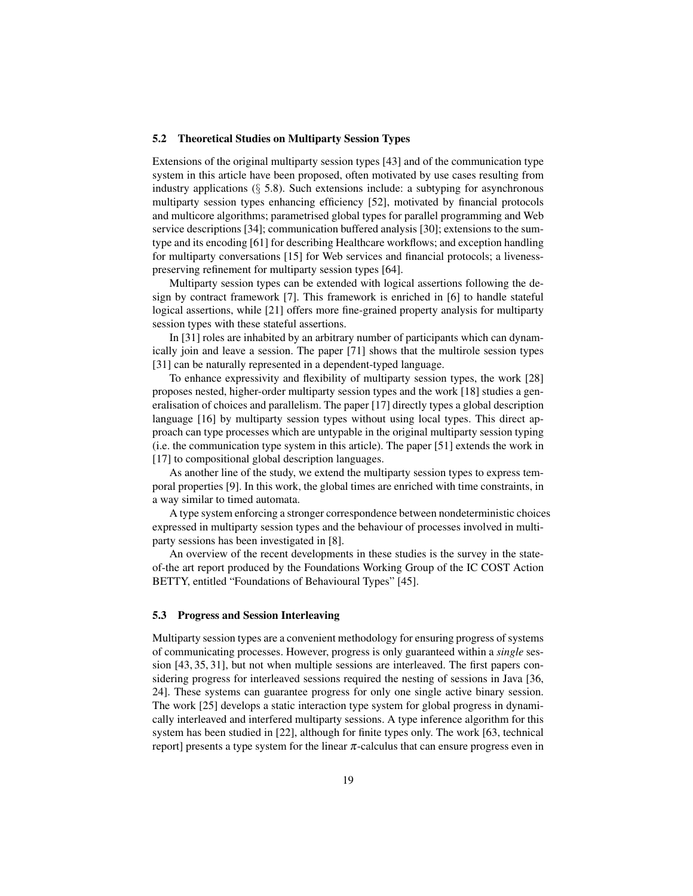#### 5.2 Theoretical Studies on Multiparty Session Types

Extensions of the original multiparty session types [43] and of the communication type system in this article have been proposed, often motivated by use cases resulting from industry applications  $(\S$  5.8). Such extensions include: a subtyping for asynchronous multiparty session types enhancing efficiency [52], motivated by financial protocols and multicore algorithms; parametrised global types for parallel programming and Web service descriptions [34]; communication buffered analysis [30]; extensions to the sumtype and its encoding [61] for describing Healthcare workflows; and exception handling for multiparty conversations [15] for Web services and financial protocols; a livenesspreserving refinement for multiparty session types [64].

Multiparty session types can be extended with logical assertions following the design by contract framework [7]. This framework is enriched in [6] to handle stateful logical assertions, while [21] offers more fine-grained property analysis for multiparty session types with these stateful assertions.

In [31] roles are inhabited by an arbitrary number of participants which can dynamically join and leave a session. The paper [71] shows that the multirole session types [31] can be naturally represented in a dependent-typed language.

To enhance expressivity and flexibility of multiparty session types, the work [28] proposes nested, higher-order multiparty session types and the work [18] studies a generalisation of choices and parallelism. The paper [17] directly types a global description language [16] by multiparty session types without using local types. This direct approach can type processes which are untypable in the original multiparty session typing (i.e. the communication type system in this article). The paper [51] extends the work in [17] to compositional global description languages.

As another line of the study, we extend the multiparty session types to express temporal properties [9]. In this work, the global times are enriched with time constraints, in a way similar to timed automata.

A type system enforcing a stronger correspondence between nondeterministic choices expressed in multiparty session types and the behaviour of processes involved in multiparty sessions has been investigated in [8].

An overview of the recent developments in these studies is the survey in the stateof-the art report produced by the Foundations Working Group of the IC COST Action BETTY, entitled "Foundations of Behavioural Types" [45].

#### 5.3 Progress and Session Interleaving

Multiparty session types are a convenient methodology for ensuring progress of systems of communicating processes. However, progress is only guaranteed within a *single* session [43, 35, 31], but not when multiple sessions are interleaved. The first papers considering progress for interleaved sessions required the nesting of sessions in Java [36, 24]. These systems can guarantee progress for only one single active binary session. The work [25] develops a static interaction type system for global progress in dynamically interleaved and interfered multiparty sessions. A type inference algorithm for this system has been studied in [22], although for finite types only. The work [63, technical report] presents a type system for the linear  $\pi$ -calculus that can ensure progress even in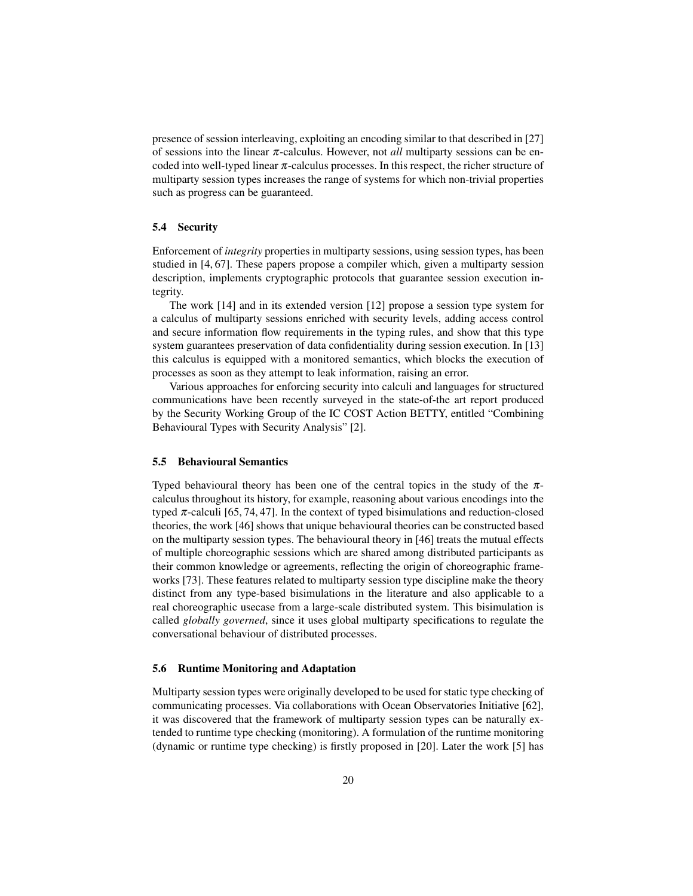presence of session interleaving, exploiting an encoding similar to that described in [27] of sessions into the linear π-calculus. However, not *all* multiparty sessions can be encoded into well-typed linear  $\pi$ -calculus processes. In this respect, the richer structure of multiparty session types increases the range of systems for which non-trivial properties such as progress can be guaranteed.

#### 5.4 Security

Enforcement of *integrity* properties in multiparty sessions, using session types, has been studied in [4, 67]. These papers propose a compiler which, given a multiparty session description, implements cryptographic protocols that guarantee session execution integrity.

The work [14] and in its extended version [12] propose a session type system for a calculus of multiparty sessions enriched with security levels, adding access control and secure information flow requirements in the typing rules, and show that this type system guarantees preservation of data confidentiality during session execution. In [13] this calculus is equipped with a monitored semantics, which blocks the execution of processes as soon as they attempt to leak information, raising an error.

Various approaches for enforcing security into calculi and languages for structured communications have been recently surveyed in the state-of-the art report produced by the Security Working Group of the IC COST Action BETTY, entitled "Combining Behavioural Types with Security Analysis" [2].

#### 5.5 Behavioural Semantics

Typed behavioural theory has been one of the central topics in the study of the  $\pi$ calculus throughout its history, for example, reasoning about various encodings into the typed  $\pi$ -calculi [65, 74, 47]. In the context of typed bisimulations and reduction-closed theories, the work [46] shows that unique behavioural theories can be constructed based on the multiparty session types. The behavioural theory in [46] treats the mutual effects of multiple choreographic sessions which are shared among distributed participants as their common knowledge or agreements, reflecting the origin of choreographic frameworks [73]. These features related to multiparty session type discipline make the theory distinct from any type-based bisimulations in the literature and also applicable to a real choreographic usecase from a large-scale distributed system. This bisimulation is called *globally governed*, since it uses global multiparty specifications to regulate the conversational behaviour of distributed processes.

#### 5.6 Runtime Monitoring and Adaptation

Multiparty session types were originally developed to be used for static type checking of communicating processes. Via collaborations with Ocean Observatories Initiative [62], it was discovered that the framework of multiparty session types can be naturally extended to runtime type checking (monitoring). A formulation of the runtime monitoring (dynamic or runtime type checking) is firstly proposed in [20]. Later the work [5] has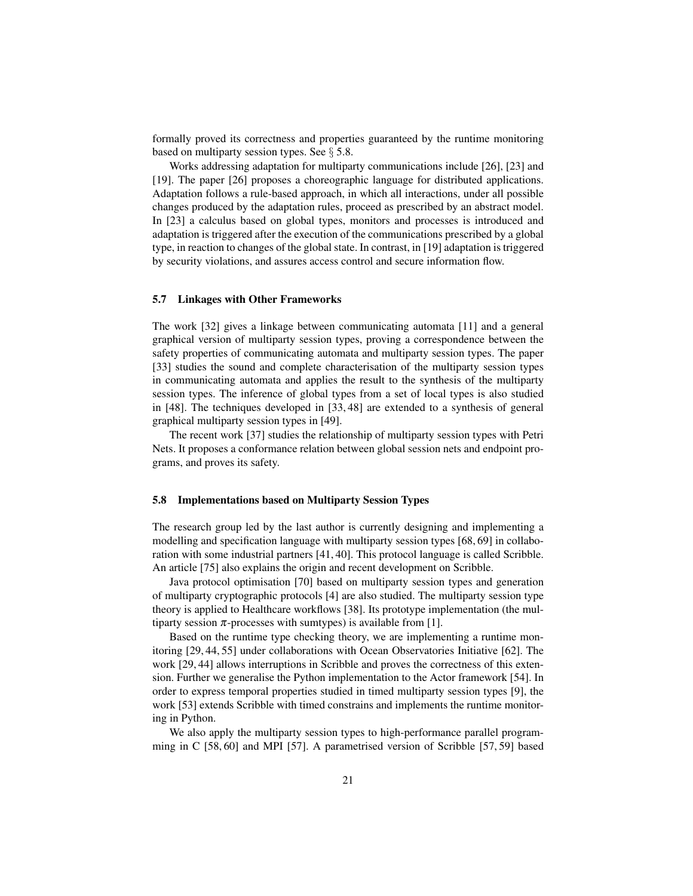formally proved its correctness and properties guaranteed by the runtime monitoring based on multiparty session types. See  $\S 5.8$ .

Works addressing adaptation for multiparty communications include [26], [23] and [19]. The paper [26] proposes a choreographic language for distributed applications. Adaptation follows a rule-based approach, in which all interactions, under all possible changes produced by the adaptation rules, proceed as prescribed by an abstract model. In [23] a calculus based on global types, monitors and processes is introduced and adaptation is triggered after the execution of the communications prescribed by a global type, in reaction to changes of the global state. In contrast, in [19] adaptation is triggered by security violations, and assures access control and secure information flow.

#### 5.7 Linkages with Other Frameworks

The work [32] gives a linkage between communicating automata [11] and a general graphical version of multiparty session types, proving a correspondence between the safety properties of communicating automata and multiparty session types. The paper [33] studies the sound and complete characterisation of the multiparty session types in communicating automata and applies the result to the synthesis of the multiparty session types. The inference of global types from a set of local types is also studied in [48]. The techniques developed in [33, 48] are extended to a synthesis of general graphical multiparty session types in [49].

The recent work [37] studies the relationship of multiparty session types with Petri Nets. It proposes a conformance relation between global session nets and endpoint programs, and proves its safety.

#### 5.8 Implementations based on Multiparty Session Types

The research group led by the last author is currently designing and implementing a modelling and specification language with multiparty session types [68, 69] in collaboration with some industrial partners [41, 40]. This protocol language is called Scribble. An article [75] also explains the origin and recent development on Scribble.

Java protocol optimisation [70] based on multiparty session types and generation of multiparty cryptographic protocols [4] are also studied. The multiparty session type theory is applied to Healthcare workflows [38]. Its prototype implementation (the multiparty session  $\pi$ -processes with sumtypes) is available from [1].

Based on the runtime type checking theory, we are implementing a runtime monitoring [29, 44, 55] under collaborations with Ocean Observatories Initiative [62]. The work [29, 44] allows interruptions in Scribble and proves the correctness of this extension. Further we generalise the Python implementation to the Actor framework [54]. In order to express temporal properties studied in timed multiparty session types [9], the work [53] extends Scribble with timed constrains and implements the runtime monitoring in Python.

We also apply the multiparty session types to high-performance parallel programming in C [58, 60] and MPI [57]. A parametrised version of Scribble [57, 59] based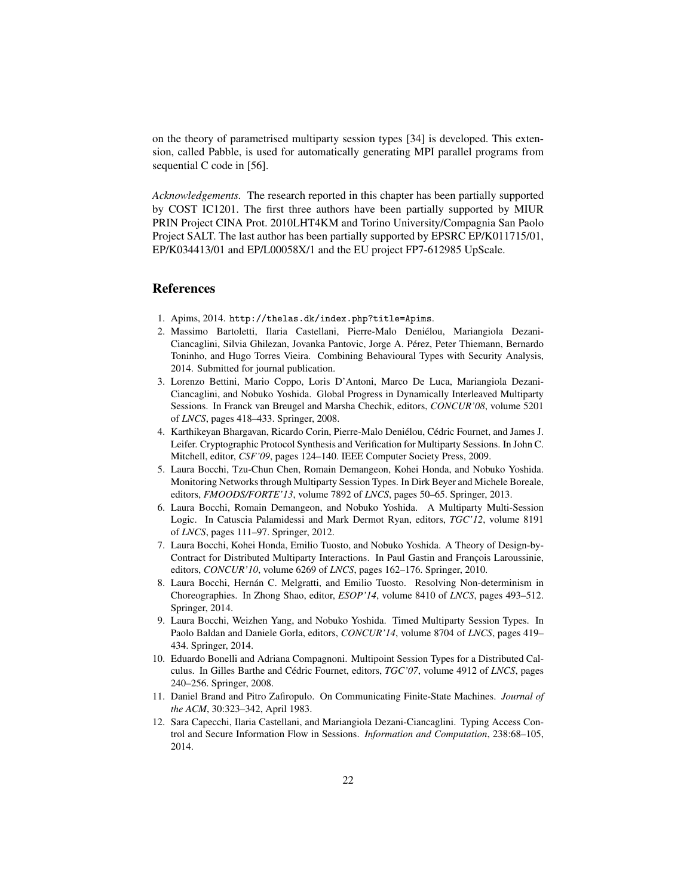on the theory of parametrised multiparty session types [34] is developed. This extension, called Pabble, is used for automatically generating MPI parallel programs from sequential C code in [56].

*Acknowledgements.* The research reported in this chapter has been partially supported by COST IC1201. The first three authors have been partially supported by MIUR PRIN Project CINA Prot. 2010LHT4KM and Torino University/Compagnia San Paolo Project SALT. The last author has been partially supported by EPSRC EP/K011715/01, EP/K034413/01 and EP/L00058X/1 and the EU project FP7-612985 UpScale.

## References

- 1. Apims, 2014. http://thelas.dk/index.php?title=Apims.
- 2. Massimo Bartoletti, Ilaria Castellani, Pierre-Malo Denielou, Mariangiola Dezani- ´ Ciancaglini, Silvia Ghilezan, Jovanka Pantovic, Jorge A. Perez, Peter Thiemann, Bernardo ´ Toninho, and Hugo Torres Vieira. Combining Behavioural Types with Security Analysis, 2014. Submitted for journal publication.
- 3. Lorenzo Bettini, Mario Coppo, Loris D'Antoni, Marco De Luca, Mariangiola Dezani-Ciancaglini, and Nobuko Yoshida. Global Progress in Dynamically Interleaved Multiparty Sessions. In Franck van Breugel and Marsha Chechik, editors, *CONCUR'08*, volume 5201 of *LNCS*, pages 418–433. Springer, 2008.
- 4. Karthikeyan Bhargavan, Ricardo Corin, Pierre-Malo Deniélou, Cédric Fournet, and James J. Leifer. Cryptographic Protocol Synthesis and Verification for Multiparty Sessions. In John C. Mitchell, editor, *CSF'09*, pages 124–140. IEEE Computer Society Press, 2009.
- 5. Laura Bocchi, Tzu-Chun Chen, Romain Demangeon, Kohei Honda, and Nobuko Yoshida. Monitoring Networks through Multiparty Session Types. In Dirk Beyer and Michele Boreale, editors, *FMOODS/FORTE'13*, volume 7892 of *LNCS*, pages 50–65. Springer, 2013.
- 6. Laura Bocchi, Romain Demangeon, and Nobuko Yoshida. A Multiparty Multi-Session Logic. In Catuscia Palamidessi and Mark Dermot Ryan, editors, *TGC'12*, volume 8191 of *LNCS*, pages 111–97. Springer, 2012.
- 7. Laura Bocchi, Kohei Honda, Emilio Tuosto, and Nobuko Yoshida. A Theory of Design-by-Contract for Distributed Multiparty Interactions. In Paul Gastin and François Laroussinie, editors, *CONCUR'10*, volume 6269 of *LNCS*, pages 162–176. Springer, 2010.
- 8. Laura Bocchi, Hernan C. Melgratti, and Emilio Tuosto. Resolving Non-determinism in ´ Choreographies. In Zhong Shao, editor, *ESOP'14*, volume 8410 of *LNCS*, pages 493–512. Springer, 2014.
- 9. Laura Bocchi, Weizhen Yang, and Nobuko Yoshida. Timed Multiparty Session Types. In Paolo Baldan and Daniele Gorla, editors, *CONCUR'14*, volume 8704 of *LNCS*, pages 419– 434. Springer, 2014.
- 10. Eduardo Bonelli and Adriana Compagnoni. Multipoint Session Types for a Distributed Calculus. In Gilles Barthe and Cedric Fournet, editors, ´ *TGC'07*, volume 4912 of *LNCS*, pages 240–256. Springer, 2008.
- 11. Daniel Brand and Pitro Zafiropulo. On Communicating Finite-State Machines. *Journal of the ACM*, 30:323–342, April 1983.
- 12. Sara Capecchi, Ilaria Castellani, and Mariangiola Dezani-Ciancaglini. Typing Access Control and Secure Information Flow in Sessions. *Information and Computation*, 238:68–105, 2014.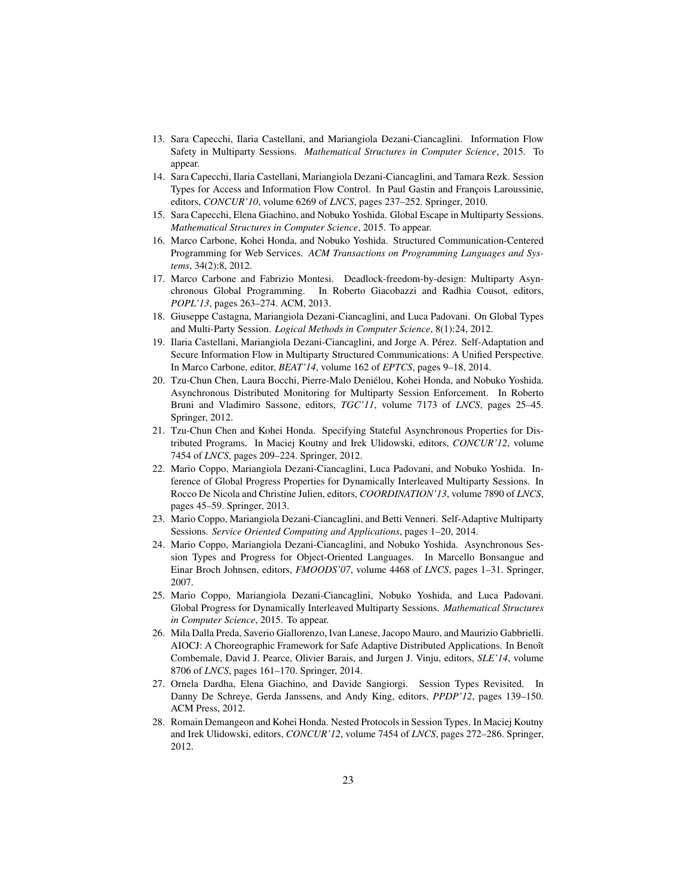- 13. Sara Capecchi, Ilaria Castellani, and Mariangiola Dezani-Ciancaglini. Information Flow Safety in Multiparty Sessions. *Mathematical Structures in Computer Science*, 2015. To appear.
- 14. Sara Capecchi, Ilaria Castellani, Mariangiola Dezani-Ciancaglini, and Tamara Rezk. Session Types for Access and Information Flow Control. In Paul Gastin and François Laroussinie, editors, *CONCUR'10*, volume 6269 of *LNCS*, pages 237–252. Springer, 2010.
- 15. Sara Capecchi, Elena Giachino, and Nobuko Yoshida. Global Escape in Multiparty Sessions. *Mathematical Structures in Computer Science*, 2015. To appear.
- 16. Marco Carbone, Kohei Honda, and Nobuko Yoshida. Structured Communication-Centered Programming for Web Services. *ACM Transactions on Programming Languages and Systems*, 34(2):8, 2012.
- 17. Marco Carbone and Fabrizio Montesi. Deadlock-freedom-by-design: Multiparty Asynchronous Global Programming. In Roberto Giacobazzi and Radhia Cousot, editors, *POPL'13*, pages 263–274. ACM, 2013.
- 18. Giuseppe Castagna, Mariangiola Dezani-Ciancaglini, and Luca Padovani. On Global Types and Multi-Party Session. *Logical Methods in Computer Science*, 8(1):24, 2012.
- 19. Ilaria Castellani, Mariangiola Dezani-Ciancaglini, and Jorge A. Perez. Self-Adaptation and ´ Secure Information Flow in Multiparty Structured Communications: A Unified Perspective. In Marco Carbone, editor, *BEAT'14*, volume 162 of *EPTCS*, pages 9–18, 2014.
- 20. Tzu-Chun Chen, Laura Bocchi, Pierre-Malo Denielou, Kohei Honda, and Nobuko Yoshida. ´ Asynchronous Distributed Monitoring for Multiparty Session Enforcement. In Roberto Bruni and Vladimiro Sassone, editors, *TGC'11*, volume 7173 of *LNCS*, pages 25–45. Springer, 2012.
- 21. Tzu-Chun Chen and Kohei Honda. Specifying Stateful Asynchronous Properties for Distributed Programs. In Maciej Koutny and Irek Ulidowski, editors, *CONCUR'12*, volume 7454 of *LNCS*, pages 209–224. Springer, 2012.
- 22. Mario Coppo, Mariangiola Dezani-Ciancaglini, Luca Padovani, and Nobuko Yoshida. Inference of Global Progress Properties for Dynamically Interleaved Multiparty Sessions. In Rocco De Nicola and Christine Julien, editors, *COORDINATION'13*, volume 7890 of *LNCS*, pages 45–59. Springer, 2013.
- 23. Mario Coppo, Mariangiola Dezani-Ciancaglini, and Betti Venneri. Self-Adaptive Multiparty Sessions. *Service Oriented Computing and Applications*, pages 1–20, 2014.
- 24. Mario Coppo, Mariangiola Dezani-Ciancaglini, and Nobuko Yoshida. Asynchronous Session Types and Progress for Object-Oriented Languages. In Marcello Bonsangue and Einar Broch Johnsen, editors, *FMOODS'07*, volume 4468 of *LNCS*, pages 1–31. Springer, 2007.
- 25. Mario Coppo, Mariangiola Dezani-Ciancaglini, Nobuko Yoshida, and Luca Padovani. Global Progress for Dynamically Interleaved Multiparty Sessions. *Mathematical Structures in Computer Science*, 2015. To appear.
- 26. Mila Dalla Preda, Saverio Giallorenzo, Ivan Lanese, Jacopo Mauro, and Maurizio Gabbrielli. AIOCJ: A Choreographic Framework for Safe Adaptive Distributed Applications. In Benoît Combemale, David J. Pearce, Olivier Barais, and Jurgen J. Vinju, editors, *SLE'14*, volume 8706 of *LNCS*, pages 161–170. Springer, 2014.
- 27. Ornela Dardha, Elena Giachino, and Davide Sangiorgi. Session Types Revisited. In Danny De Schreye, Gerda Janssens, and Andy King, editors, *PPDP'12*, pages 139–150. ACM Press, 2012.
- 28. Romain Demangeon and Kohei Honda. Nested Protocols in Session Types. In Maciej Koutny and Irek Ulidowski, editors, *CONCUR'12*, volume 7454 of *LNCS*, pages 272–286. Springer, 2012.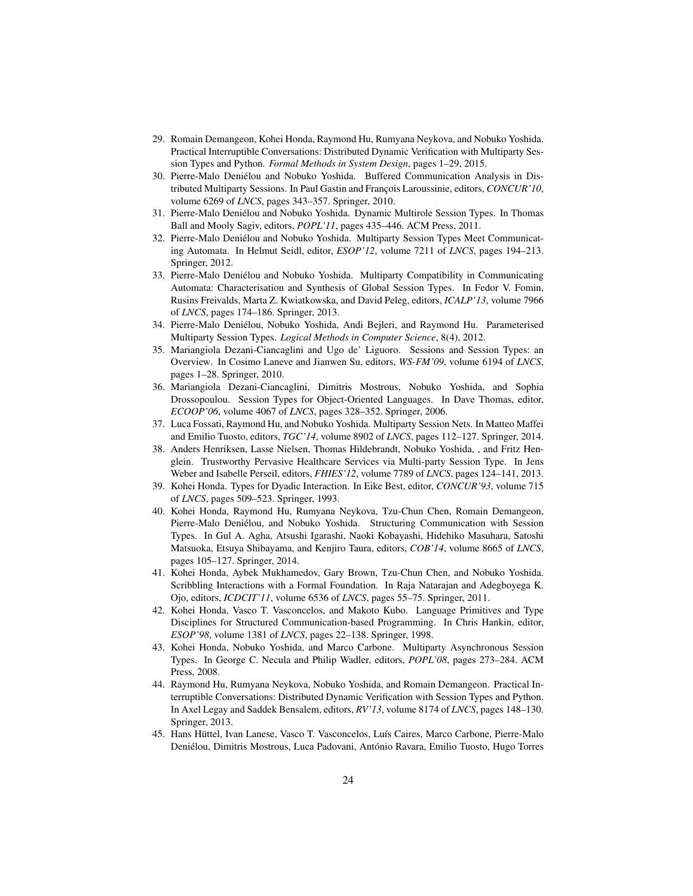- 29. Romain Demangeon, Kohei Honda, Raymond Hu, Rumyana Neykova, and Nobuko Yoshida. Practical Interruptible Conversations: Distributed Dynamic Verification with Multiparty Session Types and Python. *Formal Methods in System Design*, pages 1–29, 2015.
- 30. Pierre-Malo Denielou and Nobuko Yoshida. Buffered Communication Analysis in Dis- ´ tributed Multiparty Sessions. In Paul Gastin and François Laroussinie, editors, *CONCUR'10*, volume 6269 of *LNCS*, pages 343–357. Springer, 2010.
- 31. Pierre-Malo Denielou and Nobuko Yoshida. Dynamic Multirole Session Types. In Thomas ´ Ball and Mooly Sagiv, editors, *POPL'11*, pages 435–446. ACM Press, 2011.
- 32. Pierre-Malo Denielou and Nobuko Yoshida. Multiparty Session Types Meet Communicat- ´ ing Automata. In Helmut Seidl, editor, *ESOP'12*, volume 7211 of *LNCS*, pages 194–213. Springer, 2012.
- 33. Pierre-Malo Denielou and Nobuko Yoshida. Multiparty Compatibility in Communicating ´ Automata: Characterisation and Synthesis of Global Session Types. In Fedor V. Fomin, Rusins Freivalds, Marta Z. Kwiatkowska, and David Peleg, editors, *ICALP'13*, volume 7966 of *LNCS*, pages 174–186. Springer, 2013.
- 34. Pierre-Malo Denielou, Nobuko Yoshida, Andi Bejleri, and Raymond Hu. Parameterised ´ Multiparty Session Types. *Logical Methods in Computer Science*, 8(4), 2012.
- 35. Mariangiola Dezani-Ciancaglini and Ugo de' Liguoro. Sessions and Session Types: an Overview. In Cosimo Laneve and Jianwen Su, editors, *WS-FM'09*, volume 6194 of *LNCS*, pages 1–28. Springer, 2010.
- 36. Mariangiola Dezani-Ciancaglini, Dimitris Mostrous, Nobuko Yoshida, and Sophia Drossopoulou. Session Types for Object-Oriented Languages. In Dave Thomas, editor, *ECOOP'06*, volume 4067 of *LNCS*, pages 328–352. Springer, 2006.
- 37. Luca Fossati, Raymond Hu, and Nobuko Yoshida. Multiparty Session Nets. In Matteo Maffei and Emilio Tuosto, editors, *TGC'14*, volume 8902 of *LNCS*, pages 112–127. Springer, 2014.
- 38. Anders Henriksen, Lasse Nielsen, Thomas Hildebrandt, Nobuko Yoshida, , and Fritz Henglein. Trustworthy Pervasive Healthcare Services via Multi-party Session Type. In Jens Weber and Isabelle Perseil, editors, *FHIES'12*, volume 7789 of *LNCS*, pages 124–141, 2013.
- 39. Kohei Honda. Types for Dyadic Interaction. In Eike Best, editor, *CONCUR'93*, volume 715 of *LNCS*, pages 509–523. Springer, 1993.
- 40. Kohei Honda, Raymond Hu, Rumyana Neykova, Tzu-Chun Chen, Romain Demangeon, Pierre-Malo Deniélou, and Nobuko Yoshida. Structuring Communication with Session Types. In Gul A. Agha, Atsushi Igarashi, Naoki Kobayashi, Hidehiko Masuhara, Satoshi Matsuoka, Etsuya Shibayama, and Kenjiro Taura, editors, *COB'14*, volume 8665 of *LNCS*, pages 105–127. Springer, 2014.
- 41. Kohei Honda, Aybek Mukhamedov, Gary Brown, Tzu-Chun Chen, and Nobuko Yoshida. Scribbling Interactions with a Formal Foundation. In Raja Natarajan and Adegboyega K. Ojo, editors, *ICDCIT'11*, volume 6536 of *LNCS*, pages 55–75. Springer, 2011.
- 42. Kohei Honda, Vasco T. Vasconcelos, and Makoto Kubo. Language Primitives and Type Disciplines for Structured Communication-based Programming. In Chris Hankin, editor, *ESOP'98*, volume 1381 of *LNCS*, pages 22–138. Springer, 1998.
- 43. Kohei Honda, Nobuko Yoshida, and Marco Carbone. Multiparty Asynchronous Session Types. In George C. Necula and Philip Wadler, editors, *POPL'08*, pages 273–284. ACM Press, 2008.
- 44. Raymond Hu, Rumyana Neykova, Nobuko Yoshida, and Romain Demangeon. Practical Interruptible Conversations: Distributed Dynamic Verification with Session Types and Python. In Axel Legay and Saddek Bensalem, editors, *RV'13*, volume 8174 of *LNCS*, pages 148–130. Springer, 2013.
- 45. Hans Hüttel, Ivan Lanese, Vasco T. Vasconcelos, Luís Caires, Marco Carbone, Pierre-Malo Deniélou, Dimitris Mostrous, Luca Padovani, António Ravara, Emilio Tuosto, Hugo Torres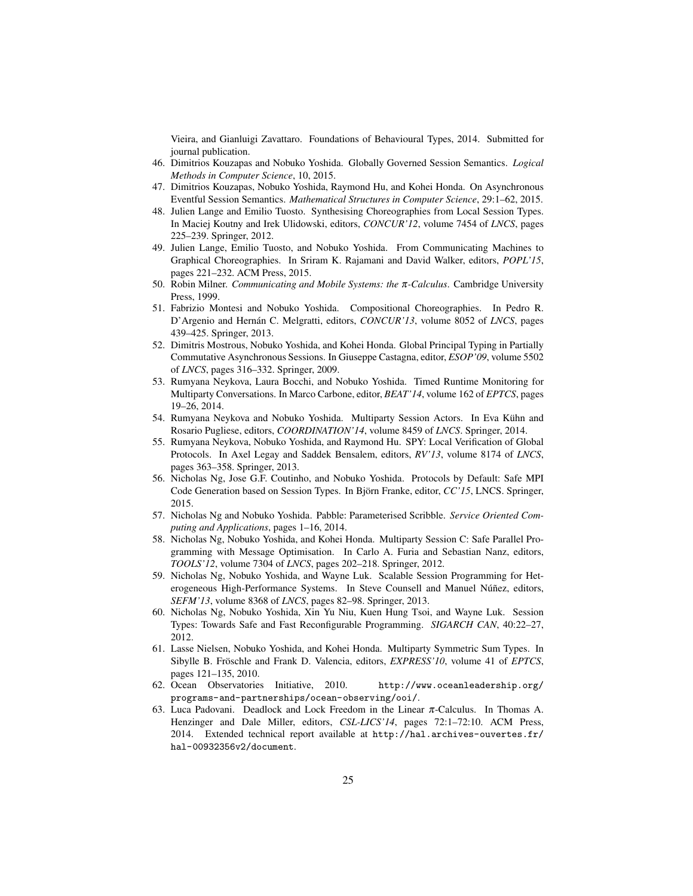Vieira, and Gianluigi Zavattaro. Foundations of Behavioural Types, 2014. Submitted for journal publication.

- 46. Dimitrios Kouzapas and Nobuko Yoshida. Globally Governed Session Semantics. *Logical Methods in Computer Science*, 10, 2015.
- 47. Dimitrios Kouzapas, Nobuko Yoshida, Raymond Hu, and Kohei Honda. On Asynchronous Eventful Session Semantics. *Mathematical Structures in Computer Science*, 29:1–62, 2015.
- 48. Julien Lange and Emilio Tuosto. Synthesising Choreographies from Local Session Types. In Maciej Koutny and Irek Ulidowski, editors, *CONCUR'12*, volume 7454 of *LNCS*, pages 225–239. Springer, 2012.
- 49. Julien Lange, Emilio Tuosto, and Nobuko Yoshida. From Communicating Machines to Graphical Choreographies. In Sriram K. Rajamani and David Walker, editors, *POPL'15*, pages 221–232. ACM Press, 2015.
- 50. Robin Milner. *Communicating and Mobile Systems: the* π*-Calculus*. Cambridge University Press, 1999.
- 51. Fabrizio Montesi and Nobuko Yoshida. Compositional Choreographies. In Pedro R. D'Argenio and Hernán C. Melgratti, editors, *CONCUR'13*, volume 8052 of *LNCS*, pages 439–425. Springer, 2013.
- 52. Dimitris Mostrous, Nobuko Yoshida, and Kohei Honda. Global Principal Typing in Partially Commutative Asynchronous Sessions. In Giuseppe Castagna, editor, *ESOP'09*, volume 5502 of *LNCS*, pages 316–332. Springer, 2009.
- 53. Rumyana Neykova, Laura Bocchi, and Nobuko Yoshida. Timed Runtime Monitoring for Multiparty Conversations. In Marco Carbone, editor, *BEAT'14*, volume 162 of *EPTCS*, pages 19–26, 2014.
- 54. Rumyana Neykova and Nobuko Yoshida. Multiparty Session Actors. In Eva Kühn and Rosario Pugliese, editors, *COORDINATION'14*, volume 8459 of *LNCS*. Springer, 2014.
- 55. Rumyana Neykova, Nobuko Yoshida, and Raymond Hu. SPY: Local Verification of Global Protocols. In Axel Legay and Saddek Bensalem, editors, *RV'13*, volume 8174 of *LNCS*, pages 363–358. Springer, 2013.
- 56. Nicholas Ng, Jose G.F. Coutinho, and Nobuko Yoshida. Protocols by Default: Safe MPI Code Generation based on Session Types. In Björn Franke, editor, *CC'15*, LNCS. Springer, 2015.
- 57. Nicholas Ng and Nobuko Yoshida. Pabble: Parameterised Scribble. *Service Oriented Computing and Applications*, pages 1–16, 2014.
- 58. Nicholas Ng, Nobuko Yoshida, and Kohei Honda. Multiparty Session C: Safe Parallel Programming with Message Optimisation. In Carlo A. Furia and Sebastian Nanz, editors, *TOOLS'12*, volume 7304 of *LNCS*, pages 202–218. Springer, 2012.
- 59. Nicholas Ng, Nobuko Yoshida, and Wayne Luk. Scalable Session Programming for Heterogeneous High-Performance Systems. In Steve Counsell and Manuel Núñez, editors, *SEFM'13*, volume 8368 of *LNCS*, pages 82–98. Springer, 2013.
- 60. Nicholas Ng, Nobuko Yoshida, Xin Yu Niu, Kuen Hung Tsoi, and Wayne Luk. Session Types: Towards Safe and Fast Reconfigurable Programming. *SIGARCH CAN*, 40:22–27, 2012.
- 61. Lasse Nielsen, Nobuko Yoshida, and Kohei Honda. Multiparty Symmetric Sum Types. In Sibylle B. Fröschle and Frank D. Valencia, editors, *EXPRESS'10*, volume 41 of *EPTCS*, pages 121–135, 2010.
- 62. Ocean Observatories Initiative, 2010. http://www.oceanleadership.org/ programs-and-partnerships/ocean-observing/ooi/.
- 63. Luca Padovani. Deadlock and Lock Freedom in the Linear π-Calculus. In Thomas A. Henzinger and Dale Miller, editors, *CSL-LICS'14*, pages 72:1–72:10. ACM Press, 2014. Extended technical report available at http://hal.archives-ouvertes.fr/ hal-00932356v2/document.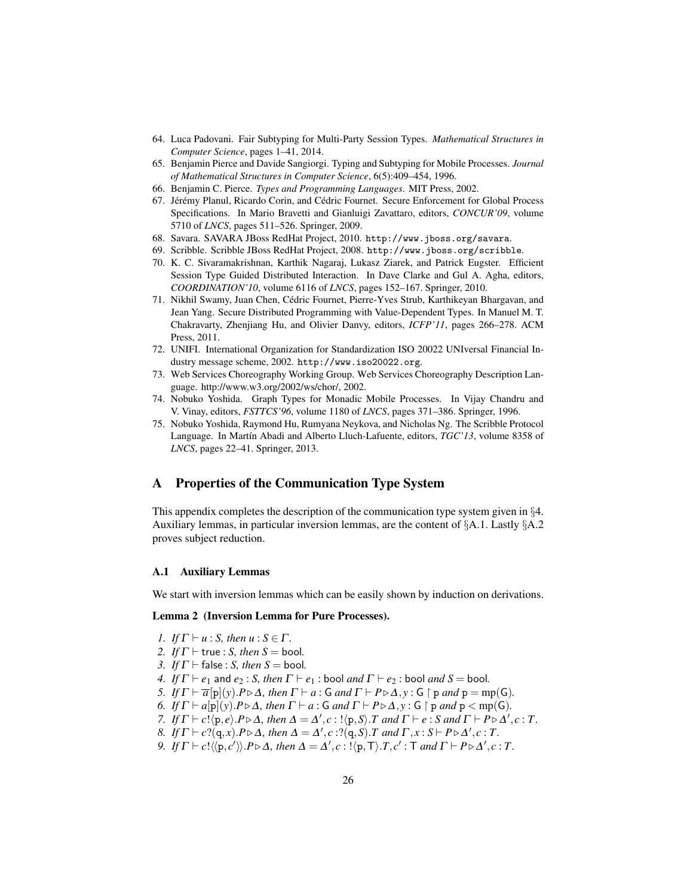- 64. Luca Padovani. Fair Subtyping for Multi-Party Session Types. *Mathematical Structures in Computer Science*, pages 1–41, 2014.
- 65. Benjamin Pierce and Davide Sangiorgi. Typing and Subtyping for Mobile Processes. *Journal of Mathematical Structures in Computer Science*, 6(5):409–454, 1996.
- 66. Benjamin C. Pierce. *Types and Programming Languages*. MIT Press, 2002.
- 67. Jérémy Planul, Ricardo Corin, and Cédric Fournet. Secure Enforcement for Global Process Specifications. In Mario Bravetti and Gianluigi Zavattaro, editors, *CONCUR'09*, volume 5710 of *LNCS*, pages 511–526. Springer, 2009.
- 68. Savara. SAVARA JBoss RedHat Project, 2010. http://www.jboss.org/savara.
- 69. Scribble. Scribble JBoss RedHat Project, 2008. http://www.jboss.org/scribble.
- 70. K. C. Sivaramakrishnan, Karthik Nagaraj, Lukasz Ziarek, and Patrick Eugster. Efficient Session Type Guided Distributed Interaction. In Dave Clarke and Gul A. Agha, editors, *COORDINATION'10*, volume 6116 of *LNCS*, pages 152–167. Springer, 2010.
- 71. Nikhil Swamy, Juan Chen, Cedric Fournet, Pierre-Yves Strub, Karthikeyan Bhargavan, and ´ Jean Yang. Secure Distributed Programming with Value-Dependent Types. In Manuel M. T. Chakravarty, Zhenjiang Hu, and Olivier Danvy, editors, *ICFP'11*, pages 266–278. ACM Press, 2011.
- 72. UNIFI. International Organization for Standardization ISO 20022 UNIversal Financial Industry message scheme, 2002. http://www.iso20022.org.
- 73. Web Services Choreography Working Group. Web Services Choreography Description Language. http://www.w3.org/2002/ws/chor/, 2002.
- 74. Nobuko Yoshida. Graph Types for Monadic Mobile Processes. In Vijay Chandru and V. Vinay, editors, *FSTTCS'96*, volume 1180 of *LNCS*, pages 371–386. Springer, 1996.
- 75. Nobuko Yoshida, Raymond Hu, Rumyana Neykova, and Nicholas Ng. The Scribble Protocol Language. In Martín Abadi and Alberto Lluch-Lafuente, editors, *TGC'13*, volume 8358 of *LNCS*, pages 22–41. Springer, 2013.

### A Properties of the Communication Type System

This appendix completes the description of the communication type system given in §4. Auxiliary lemmas, in particular inversion lemmas, are the content of  $\S$ A.1. Lastly  $\S$ A.2 proves subject reduction.

#### A.1 Auxiliary Lemmas

We start with inversion lemmas which can be easily shown by induction on derivations.

#### Lemma 2 (Inversion Lemma for Pure Processes).

- *1. If*  $\Gamma \vdash u : S$ *, then*  $u : S \in \Gamma$ *.*
- *2. If*  $\Gamma$   $\vdash$  true : *S, then S* = bool.
- *3. If*  $\Gamma \vdash$  false : *S, then S* = bool.
- *4. If*  $\Gamma \vdash e_1$  and  $e_2$ : *S, then*  $\Gamma \vdash e_1$ : bool *and*  $\Gamma \vdash e_2$ : bool *and*  $S =$  bool.
- *5. If*  $\Gamma \vdash \overline{a}[\mathbf{p}](\mathbf{y}).P \triangleright \Delta$ , then  $\Gamma \vdash a : \mathbf{G}$  and  $\Gamma \vdash P \triangleright \Delta$ ,  $\mathbf{y} : \mathbf{G} \restriction \mathbf{p}$  and  $\mathbf{p} = \text{mp}(\mathbf{G})$ .
- *6. If*  $\Gamma \vdash a[p](y) \cdot P \triangleright \Delta$ *, then*  $\Gamma \vdash a : G$  *and*  $\Gamma \vdash P \triangleright \Delta$ *,y* :  $G \restriction p$  *and*  $p < mp(G)$ *.*
- *7. If*  $\Gamma \vdash c! \langle p, e \rangle \cdot P \triangleright \Delta$ , then  $\Delta = \Delta', c: ! \langle p, S \rangle \cdot T$  and  $\Gamma \vdash e: S$  and  $\Gamma \vdash P \triangleright \Delta', c: T$ .
- *8. If*  $\Gamma \vdash c$ ?(q, *x*).*P* $\triangleright$   $\Delta$ , then  $\Delta = \Delta'$ , *c* :?(q, *S*).*T* and  $\Gamma$ , *x* : *S* $\vdash$ *P* $\triangleright$   $\Delta'$ , *c* : *T*.
- *9. If*  $\Gamma \vdash c! \langle p, c' \rangle \rangle$ . $P \triangleright \Delta$ , then  $\Delta = \Delta', c : ! \langle p, \mathsf{T} \rangle$ . $T, c' : \mathsf{T}$  and  $\Gamma \vdash P \triangleright \Delta', c : T$ .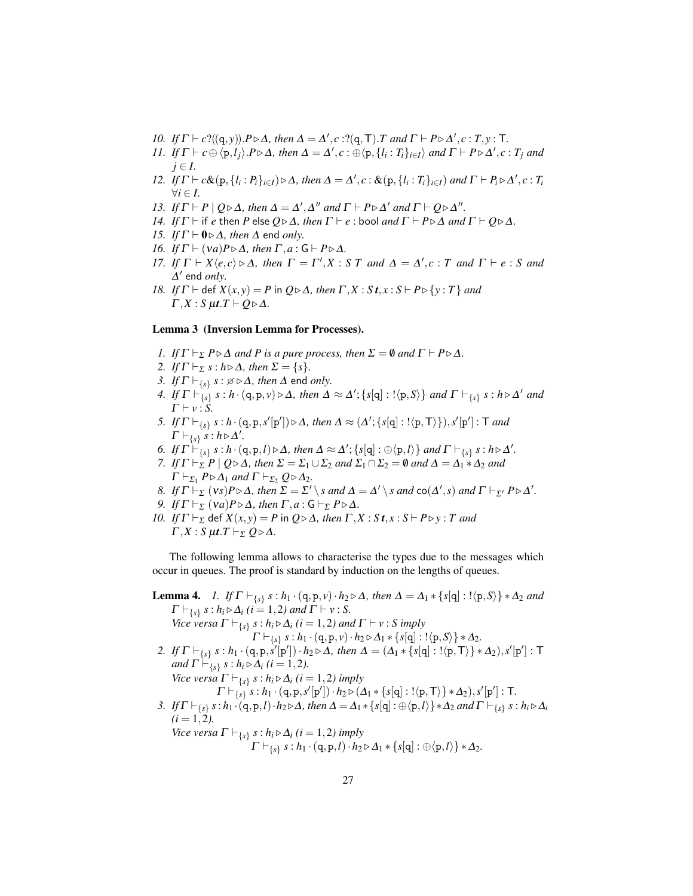- *10. If*  $\Gamma \vdash c$ ?((q, *y*)). $P \triangleright \Delta$ *, then*  $\Delta = \Delta'$ , *c* :?(q,  $\top$ ).*T* and  $\Gamma \vdash P \triangleright \Delta'$ , *c* : *T*, *y* :  $\top$ .
- 11. If  $\Gamma \vdash c \oplus \langle p, l_j \rangle$ .  $P \triangleright \Delta$ , then  $\Delta = \Delta', c : \oplus \langle p, \{l_i : T_i\}_{i \in I} \rangle$  and  $\Gamma \vdash P \triangleright \Delta', c : T_j$  and  $j \in I$ .
- 12. If  $\Gamma \vdash c\&(p, \{l_i : P_i\}_{i \in I}) \triangleright \Delta$ , then  $\Delta = \Delta', c : \&(p, \{l_i : T_i\}_{i \in I})$  and  $\Gamma \vdash P_i \triangleright \Delta', c : T_i$  $∀i ∈ I.$
- *13. If*  $\Gamma \vdash P \mid Q \triangleright \Delta$ *, then*  $\Delta = \Delta'$ *,*  $\Delta''$  *and*  $\Gamma \vdash P \triangleright \Delta'$  *and*  $\Gamma \vdash Q \triangleright \Delta''$ *.*
- *14. If*  $\Gamma \vdash$  if *e* then *P* else  $Q \triangleright \Delta$ *, then*  $\Gamma \vdash e$  : bool *and*  $\Gamma \vdash P \triangleright \Delta$  *and*  $\Gamma \vdash Q \triangleright \Delta$ *.*
- *15. If*  $\Gamma \vdash 0 \triangleright \Delta$ *, then*  $\Delta$  end *only*.
- *16. If*  $\Gamma \vdash (va)P \triangleright \Delta$ *, then*  $\Gamma, a : G \vdash P \triangleright \Delta$ *.*
- *17. If*  $\Gamma \vdash X \langle e, c \rangle \triangleright \Delta$ *, then*  $\Gamma = \Gamma', X : S T$  *and*  $\Delta = \Delta', c : T$  *and*  $\Gamma \vdash e : S$  *and*  $\Delta'$  end *only*.
- *18. If*  $\Gamma$   $\vdash$  def  $X(x, y) = P$  in  $Q \triangleright \Delta$ , then  $\Gamma, X : S \mid t, x : S \vdash P \triangleright \{y : T\}$  and  $\Gamma, X : S \mu t \cdot T \vdash Q \triangleright \Delta.$

#### Lemma 3 (Inversion Lemma for Processes).

- *1. If*  $\Gamma \vdash_{\Sigma} P \triangleright \Delta$  *and P is a pure process, then*  $\Sigma = \emptyset$  *and*  $\Gamma \vdash P \triangleright \Delta$ *.*
- *2. If*  $\Gamma \vdash_{\Sigma} s : h \triangleright \Delta$ *, then*  $\Sigma = \{s\}.$
- 3. *If*  $\Gamma \vdash_{\{s\}} s : \emptyset \triangleright \Delta$ , then  $\Delta$  end *only.*
- *4. If*  $\Gamma \vdash_{\{s\}} s : h \cdot (q, p, v) \triangleright \Delta$ , then  $\Delta \approx \Delta'; \{s[q] : !\langle p, S \rangle\}$  and  $\Gamma \vdash_{\{s\}} s : h \triangleright \Delta'$  and  $\Gamma \vdash v : S.$
- *5. If*  $\Gamma \vdash_{\{s\}} s : h \cdot (q, p, s'[p']) \triangleright \Delta$ *, then*  $\Delta \approx (\Delta'; \{s[q] : !\langle p, \mathsf{T}\rangle\}), s'[p'] : \mathsf{T}$  and  $\Gamma \vdash_{\{s\}} s : h \triangleright \Delta'.$
- *6. If*  $\Gamma \vdash_{\{s\}} s : h \cdot (q, p, l) \triangleright \Delta$ *, then*  $\Delta \approx \Delta'; \{s[q] : \bigoplus \langle p, l \rangle\}$  and  $\Gamma \vdash_{\{s\}} s : h \triangleright \Delta'.$
- *7. If*  $\Gamma \vdash_{\Sigma} P \mid Q \triangleright \Delta$ *, then*  $\Sigma = \Sigma_1 \cup \Sigma_2$  *and*  $\Sigma_1 \cap \Sigma_2 = \emptyset$  *and*  $\Delta = \Delta_1 * \Delta_2$  *and*  $\Gamma \vdash_{\Sigma_1} P \triangleright \Delta_1$  *and*  $\Gamma \vdash_{\Sigma_2} Q \triangleright \Delta_2$ *.*
- *8. If*  $\Gamma \vdash_{\Sigma} (vs) P \triangleright \Delta$ *, then*  $\Sigma = \Sigma' \setminus s$  *and*  $\Delta = \Delta' \setminus s$  *and*  $\text{co}(\Delta', s)$  *and*  $\Gamma \vdash_{\Sigma'} P \triangleright \Delta'$ *.*
- *9. If*  $\Gamma \vdash_{\Sigma} (va)P \triangleright \Delta$ *, then*  $\Gamma, a : G \vdash_{\Sigma} P \triangleright \Delta$ *.*
- *10. If*  $\Gamma \vdash_{\Sigma}$  def  $X(x, y) = P$  in  $Q \triangleright \Delta$ , then  $\Gamma, X : S \vdash P \triangleright y : T$  and  $\Gamma, X : S \mu t$ .  $T \vdash_{\Sigma} Q \triangleright \Delta$ .

The following lemma allows to characterise the types due to the messages which occur in queues. The proof is standard by induction on the lengths of queues.

**Lemma 4.** *I. If*  $\Gamma \vdash_{\{s\}} s : h_1 \cdot (q, p, v) \cdot h_2 \triangleright \Delta$ , then  $\Delta = \Delta_1 * \{s[q] : !\langle p, S \rangle\} * \Delta_2$  *and*  $\Gamma \vdash_{\{s\}} s : h_i \triangleright \Delta_i \ (i = 1, 2) \ and \ \Gamma \vdash v : S.$ *Vice versa*  $\Gamma \vdash_{\{s\}} s : h_i \triangleright \Delta_i$  (*i* = 1,2*)* and  $\Gamma \vdash v : S$  *imply*  $\Gamma \vdash_{\{s\}} s : h_1 \cdot (q, p, v) \cdot h_2 \triangleright \Delta_1 * \{s[q] : !\langle p, S \rangle\} * \Delta_2.$ *2. If*  $\Gamma \vdash_{\{s\}} s : h_1 \cdot (q, p, s'[p']) \cdot h_2 \triangleright \Delta$ , then  $\Delta = (\Delta_1 * \{s[q] : !\langle p, \mathsf{T}\rangle\} * \Delta_2), s'[p'] : \mathsf{T}$ *and*  $\Gamma \vdash_{\{s\}} s : h_i \triangleright \Delta_i \ (i = 1, 2)$ . *Vice versa*  $\Gamma \vdash_{\{s\}} s : h_i \triangleright \Delta_i$   $(i = 1, 2)$  *imply*  $\Gamma \vdash_{\{s\}} s : h_1 \cdot (q,p,s'[p']) \cdot h_2 \triangleright (\Delta_1 * \{s[q] : !\langle p,\mathsf{T}\rangle\} * \Delta_2), s'[p'] : \mathsf{T}.$ *3. If*  $\Gamma \vdash_{\{s\}} s : h_1 \cdot (q, p, l) \cdot h_2 \triangleright \Delta$ , then  $\Delta = \Delta_1 * \{s[q] : \oplus \langle p, l \rangle\} * \Delta_2$  and  $\Gamma \vdash_{\{s\}} s : h_i \triangleright \Delta_i$  $(i = 1, 2)$ . *Vice versa*  $\Gamma \vdash_{\{s\}} s : h_i \triangleright \Delta_i$   $(i = 1, 2)$  *imply* 

 $\Gamma \vdash_{\{s\}} s : h_1 \cdot (q, p, l) \cdot h_2 \triangleright \Delta_1 * \{s[q] : \oplus \langle p, l \rangle\} * \Delta_2.$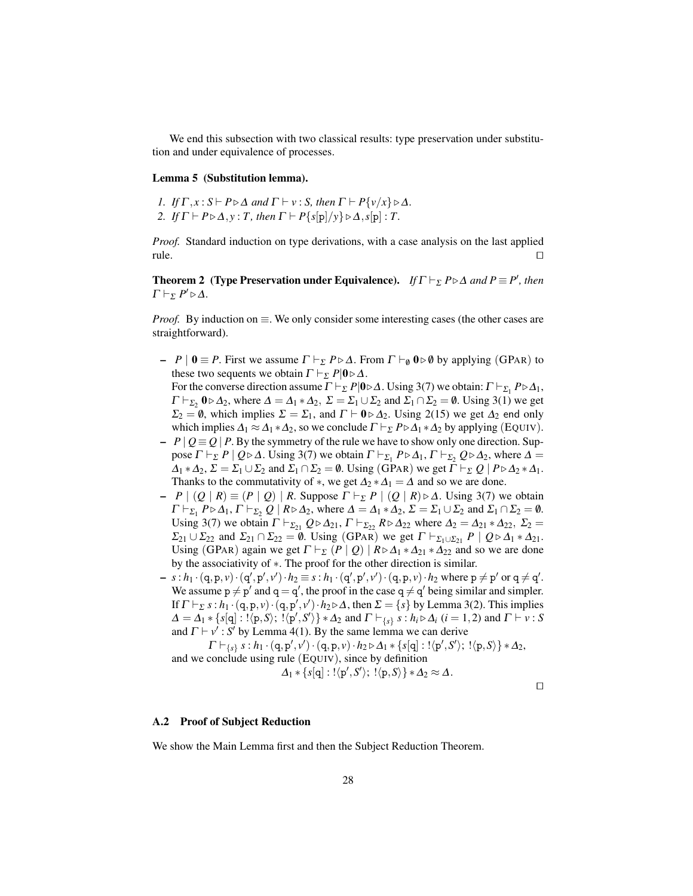We end this subsection with two classical results: type preservation under substitution and under equivalence of processes.

#### Lemma 5 (Substitution lemma).

*1. If*  $\Gamma$ *, x* : *S*  $\vdash$  *P*  $\triangleright$   $\Delta$  *and*  $\Gamma$   $\vdash$  *v* : *S, then*  $\Gamma$   $\vdash$  *P*{*v*/*x*}  $\triangleright$   $\Delta$ *. 2. If*  $\Gamma \vdash P \triangleright \Delta, y : T$ , then  $\Gamma \vdash P\{s[p]/y\} \triangleright \Delta, s[p] : T$ .

*Proof.* Standard induction on type derivations, with a case analysis on the last applied  $\Box$  rule.

**Theorem 2** (Type Preservation under Equivalence). *If*  $\Gamma \vdash_{\Sigma} P \triangleright \Delta$  *and*  $P \equiv P'$ *, then*  $\Gamma\vdash_{\Sigma} P'\triangleright \Delta.$ 

*Proof.* By induction on ≡. We only consider some interesting cases (the other cases are straightforward).

- $P | 0 \equiv P$ . First we assume  $Γ \vdash_{\Sigma} P \triangleright \Delta$ . From  $Γ \vdash_{\emptyset} 0 \triangleright \emptyset$  by applying (GPAR) to these two sequents we obtain  $\Gamma \vdash_{\Sigma} P |0 \triangleright \Delta$ . For the converse direction assume  $\Gamma \vdash_{\Sigma} P|0 \triangleright \Delta$ . Using 3(7) we obtain:  $\Gamma \vdash_{\Sigma_1} P \triangleright \Delta_1$ ,  $\Gamma \vdash_{\Sigma_2} 0 \triangleright \Delta_2$ , where  $\Delta = \Delta_1 * \Delta_2$ ,  $\Sigma = \Sigma_1 \cup \Sigma_2$  and  $\Sigma_1 \cap \Sigma_2 = \emptyset$ . Using 3(1) we get  $\Sigma_2 = \emptyset$ , which implies  $\Sigma = \Sigma_1$ , and  $\Gamma \vdash 0 \triangleright \Delta_2$ . Using 2(15) we get  $\Delta_2$  end only which implies  $\Delta_1 \approx \Delta_1 * \Delta_2$ , so we conclude  $\Gamma \vdash_{\Sigma} P \triangleright \Delta_1 * \Delta_2$  by applying (EQUIV).
- $-$  *P*  $\lfloor$  *Q* ≡ *Q*  $\lfloor$  *P*. By the symmetry of the rule we have to show only one direction. Suppose  $\Gamma \vdash_{\Sigma} P \mid Q \triangleright \Delta$ . Using 3(7) we obtain  $\Gamma \vdash_{\Sigma_1} P \triangleright \Delta_1$ ,  $\Gamma \vdash_{\Sigma_2} Q \triangleright \Delta_2$ , where  $\Delta =$  $\Delta_1 * \Delta_2$ ,  $\Sigma = \Sigma_1 \cup \Sigma_2$  and  $\Sigma_1 \cap \Sigma_2 = \emptyset$ . Using (GPAR) we get  $\Gamma \vdash_{\Sigma} Q \mid P \triangleright \Delta_2 * \Delta_1$ . Thanks to the commutativity of  $*$ , we get  $\Delta_2 * \Delta_1 = \Delta$  and so we are done.
- $-$  *P* | (*Q* | *R*) ≡ (*P* | *Q*) | *R*. Suppose  $\Gamma$   $\vdash_{\Sigma}$  *P* | (*Q* | *R*) ⊳ Δ. Using 3(7) we obtain  $\Gamma \vdash_{\Sigma_1} P \triangleright \Delta_1, \Gamma \vdash_{\Sigma_2} Q \mid R \triangleright \Delta_2$ , where  $\Delta = \Delta_1 * \Delta_2, \Sigma = \Sigma_1 \cup \Sigma_2$  and  $\Sigma_1 \cap \Sigma_2 = \emptyset$ . Using 3(7) we obtain  $\Gamma \vdash_{\Sigma_{21}} Q \triangleright \Delta_{21}$ ,  $\Gamma \vdash_{\Sigma_{22}} R \triangleright \Delta_{22}$  where  $\Delta_2 = \Delta_{21} * \Delta_{22}$ ,  $\Sigma_2 =$  $\Sigma_{21} \cup \Sigma_{22}$  and  $\Sigma_{21} \cap \Sigma_{22} = \emptyset$ . Using (GPAR) we get  $\Gamma \vdash_{\Sigma_1 \cup \Sigma_{21}} P \mid Q \triangleright \Delta_1 * \Delta_2$ . Using (GPAR) again we get  $\Gamma \vdash_{\Sigma} (P \mid Q) \mid R \triangleright \Delta_1 * \Delta_{21} * \Delta_{22}$  and so we are done by the associativity of ∗. The proof for the other direction is similar.
- $-s : h_1 \cdot (q, p, v) \cdot (q', p', v') \cdot h_2 \equiv s : h_1 \cdot (q', p', v') \cdot (q, p, v) \cdot h_2$  where  $p \neq p'$  or  $q \neq q'.$ We assume  $p \neq p'$  and  $q = q'$ , the proof in the case  $q \neq q'$  being similar and simpler. If  $\Gamma \vdash_{\Sigma} s : h_1 \cdot (q, p, v) \cdot (q, p', v') \cdot h_2 \triangleright \Delta$ , then  $\Sigma = \{s\}$  by Lemma 3(2). This implies  $\Delta = \Delta_1 * \{s[q] : !\langle p, S \rangle; !\langle p', S' \rangle\} * \Delta_2$  and  $\Gamma \vdash_{\{s\}} s : h_i \triangleright \Delta_i$  (*i* = 1,2) and  $\Gamma \vdash v : S$ and  $\Gamma \vdash v'$ : *S'* by Lemma 4(1). By the same lemma we can derive

 $\Gamma \vdash_{\{s\}} s : h_1 \cdot (q, p', v') \cdot (q, p, v) \cdot h_2 \triangleright \Delta_1 * \{s[q] : !\langle p', S' \rangle; !\langle p, S \rangle\} * \Delta_2,$ and we conclude using rule (EQUIV), since by definition

$$
\Delta_1 * \{s[q] : \langle p', S' \rangle; \ \langle p, S \rangle\} * \Delta_2 \approx \Delta.
$$

 $\Box$ 

#### A.2 Proof of Subject Reduction

We show the Main Lemma first and then the Subject Reduction Theorem.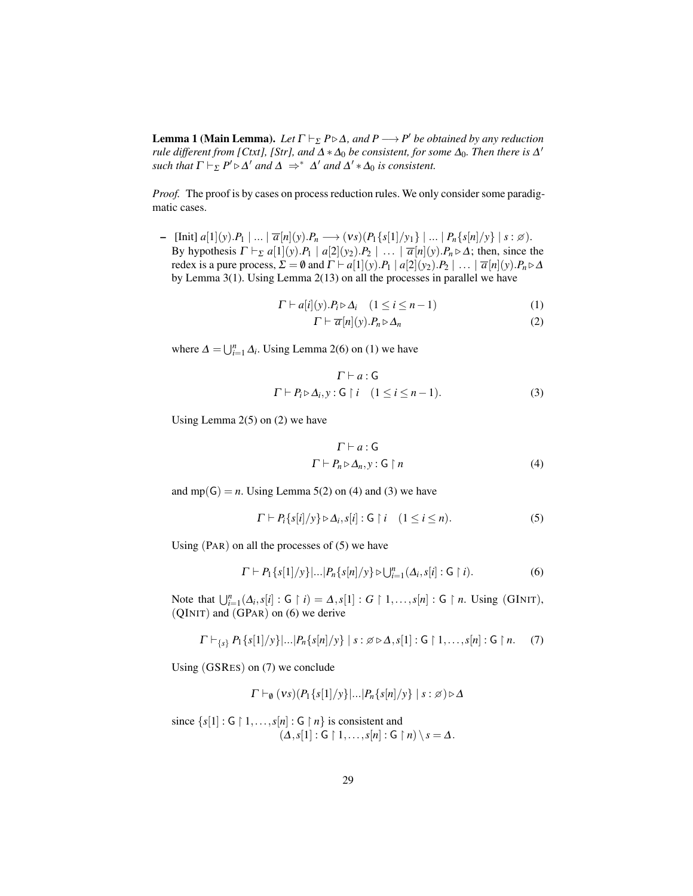**Lemma 1 (Main Lemma).** Let  $\Gamma \vdash_{\Sigma} P \triangleright \Delta$ , and  $P \longrightarrow P'$  be obtained by any reduction *rule different from [Ctxt], [Str], and*  $\Delta * \Delta_0$  *be consistent, for some*  $\Delta_0$ *. Then there is*  $\Delta'$ *such that*  $\Gamma \vdash_{\Sigma} P' \triangleright \Delta'$  *and*  $\Delta \Rightarrow^* \Delta'$  *and*  $\Delta' * \Delta_0$  *is consistent.* 

*Proof.* The proof is by cases on process reduction rules. We only consider some paradigmatic cases.

– [Init] *<sup>a</sup>*[1](*y*).*P*<sup>1</sup> <sup>|</sup> ... <sup>|</sup> *<sup>a</sup>*[*n*](*y*).*P<sup>n</sup>* −→ (ν*s*)(*P*1{*s*[1]/*y*1} | ... <sup>|</sup> *<sup>P</sup>n*{*s*[*n*]/*y*} | *<sup>s</sup>* : ). By hypothesis  $\Gamma \vdash_{\Sigma} a[1](y) \cdot P_1 \mid a[2](y_2) \cdot P_2 \mid \ldots \mid \overline{a}[n](y) \cdot P_n \triangleright \Delta$ ; then, since the redex is a pure process,  $\Sigma = \emptyset$  and  $\Gamma \vdash a[1](y).P_1 \mid a[2](y_2).P_2 \mid ... \mid \overline{a}[n](y).P_n \triangleright \Delta$ by Lemma 3(1). Using Lemma 2(13) on all the processes in parallel we have

$$
\Gamma \vdash a[i](y).P_i \triangleright \Delta_i \quad (1 \le i \le n-1)
$$
\n<sup>(1)</sup>

$$
\Gamma \vdash \overline{a}[n](y).P_n \triangleright \Delta_n \tag{2}
$$

where  $\Delta = \bigcup_{i=1}^{n} \Delta_i$ . Using Lemma 2(6) on (1) we have

$$
\Gamma \vdash a : \mathsf{G}
$$
\n
$$
\Gamma \vdash P_i \triangleright \Delta_i, y : \mathsf{G} \restriction i \quad (1 \leq i \leq n-1).
$$
\n(3)

Using Lemma  $2(5)$  on  $(2)$  we have

$$
\Gamma \vdash a : \mathsf{G}
$$
\n
$$
\Gamma \vdash P_n \triangleright \Delta_n, \mathbf{y} : \mathsf{G} \upharpoonright n \tag{4}
$$

and  $mp(G) = n$ . Using Lemma 5(2) on (4) and (3) we have

$$
\Gamma \vdash P_i\{s[i]/y\} \triangleright \Delta_i, s[i] : G \restriction i \quad (1 \leq i \leq n). \tag{5}
$$

Using  $(PAR)$  on all the processes of  $(5)$  we have

$$
\Gamma \vdash P_1\{s[1]/y\} |...|P_n\{s[n]/y\} \triangleright \bigcup_{i=1}^n (\Delta_i, s[i] : \mathsf{G} \restriction i). \tag{6}
$$

Note that  $\bigcup_{i=1}^{n} (\Delta_i, s[i] : G \restriction i) = \Delta, s[1] : G \restriction 1, \ldots, s[n] : G \restriction n$ . Using (GINIT), (QINIT) and (GPAR) on (6) we derive

$$
\Gamma \vdash_{\{s\}} P_1\{s[1]/y\} |...| P_n\{s[n]/y\} | s : \beta \triangleright \Delta, s[1] : G \upharpoonright 1, ..., s[n] : G \upharpoonright n. \tag{7}
$$

Using (GSRES) on (7) we conclude

$$
\Gamma\vdash_{\emptyset} (vs)(P_1\{s[1]/y\}|\ldots|P_n\{s[n]/y\} \mid s:\varnothing)\triangleright\Delta
$$

since  $\{s[1]: G \restriction 1, \ldots, s[n]: G \restriction n\}$  is consistent and  $(\Delta, s[1]: \mathsf{G} \restriction 1, \ldots, s[n]: \mathsf{G} \restriction n) \setminus s = \Delta.$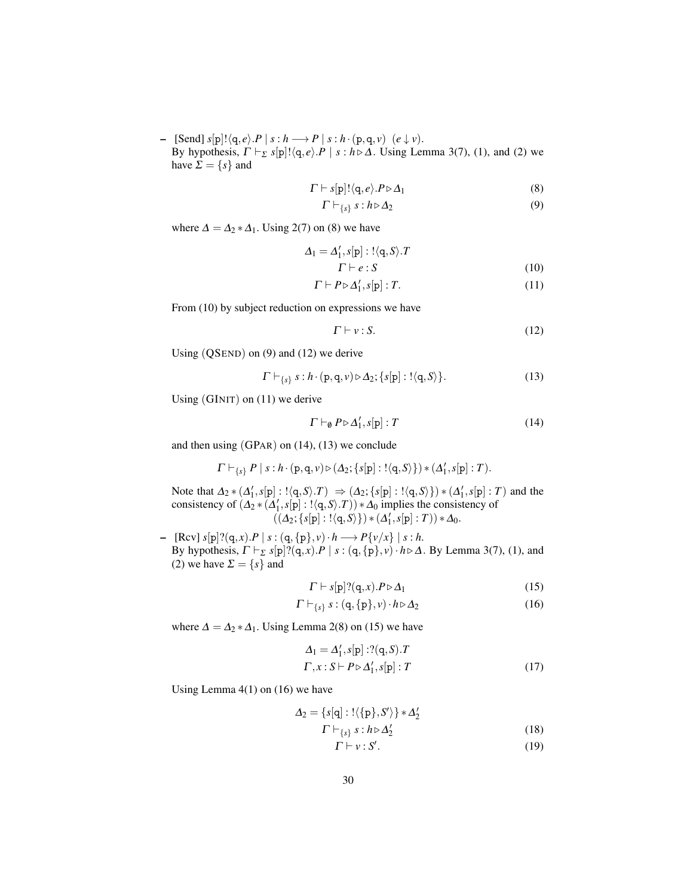– [Send]  $s[p]! \langle q, e \rangle \cdot P | s : h \longrightarrow P | s : h \cdot (p, q, v) \quad (e \downarrow v).$ By hypothesis,  $\Gamma \vdash_{\Sigma} s[p]! \langle q, e \rangle \cdot P \mid s : h \triangleright \Delta$ . Using Lemma 3(7), (1), and (2) we have  $\Sigma = \{s\}$  and

$$
\Gamma \vdash s[p]! \langle q, e \rangle . P \triangleright \Delta_1 \tag{8}
$$

$$
\Gamma \vdash_{\{s\}} s : h \triangleright \Delta_2 \tag{9}
$$

where  $\Delta = \Delta_2 * \Delta_1$ . Using 2(7) on (8) we have

$$
\Delta_1 = \Delta'_1, s[\mathbf{p}] : !\langle \mathbf{q}, S \rangle \cdot T
$$
  

$$
\Gamma \vdash e : S
$$
 (10)

$$
\Gamma \vdash P \triangleright \Delta'_1, s[p] : T. \tag{11}
$$

From (10) by subject reduction on expressions we have

$$
\Gamma \vdash v : S. \tag{12}
$$

Using (QSEND) on (9) and (12) we derive

$$
\Gamma \vdash_{\{s\}} s : h \cdot (p, q, v) \triangleright \Delta_2; \{s[p] : !\langle q, S \rangle\}.
$$
 (13)

Using (GINIT) on (11) we derive

$$
\Gamma \vdash_{\emptyset} P \triangleright \Delta'_1, s[p] : T \tag{14}
$$

and then using (GPAR) on (14), (13) we conclude

$$
\Gamma \vdash_{\{s\}} P \mid s : h \cdot (p,q,v) \triangleright (\Delta_2; \{s[p] : !\langle q, S \rangle\}) * (\Delta'_1, s[p] : T).
$$

Note that  $\Delta_2 * (\Delta'_1, s[p] : !\langle q, S \rangle \cdot T) \Rightarrow (\Delta_2; \{s[p] : !\langle q, S \rangle\}) * (\Delta'_1, s[p] : T)$  and the consistency of  $(\Delta_2 * (\Delta'_1, s[p] : !\langle q, S \rangle \cdot T)) * \Delta_0$  implies the consistency of  $((\Delta_2; \{s[p] : !\langle q, S \rangle\}) * (\Delta'_1, s[p] : T)) * \Delta_0.$ 

– [Rcv] *s*[p]?(q, *x*).*P* | *s* : (q,{p}, *v*)· *h* −→ *P*{*v*/*x*} | *s* : *h*. By hypothesis,  $\Gamma \vdash_{\Sigma} s[p]$ ? $(q, x)$ . $P \mid s : (q, {p}, v) \cdot h \triangleright \Delta$ . By Lemma 3(7), (1), and (2) we have  $\Sigma = \{s\}$  and

$$
\Gamma \vdash s[p] ? (q, x) . P \triangleright \Delta_1 \tag{15}
$$

$$
\Gamma \vdash_{\{s\}} s : (q, \{p\}, v) \cdot h \triangleright \Delta_2 \tag{16}
$$

where  $\Delta = \Delta_2 * \Delta_1$ . Using Lemma 2(8) on (15) we have

$$
\Delta_1 = \Delta'_1, s[\mathbf{p}] : ?(\mathbf{q}, S).T
$$
  
\n
$$
\Gamma, x : S \vdash P \triangleright \Delta'_1, s[\mathbf{p}] : T
$$
\n(17)

Using Lemma 4(1) on (16) we have

$$
\Delta_2 = \{s[q] : !\langle \{p\}, S'\rangle\} * \Delta_2'
$$
  

$$
\Gamma \vdash_{\{s\}} s : h \triangleright \Delta_2'
$$
 (18)

$$
\Gamma \vdash \nu : S'. \tag{19}
$$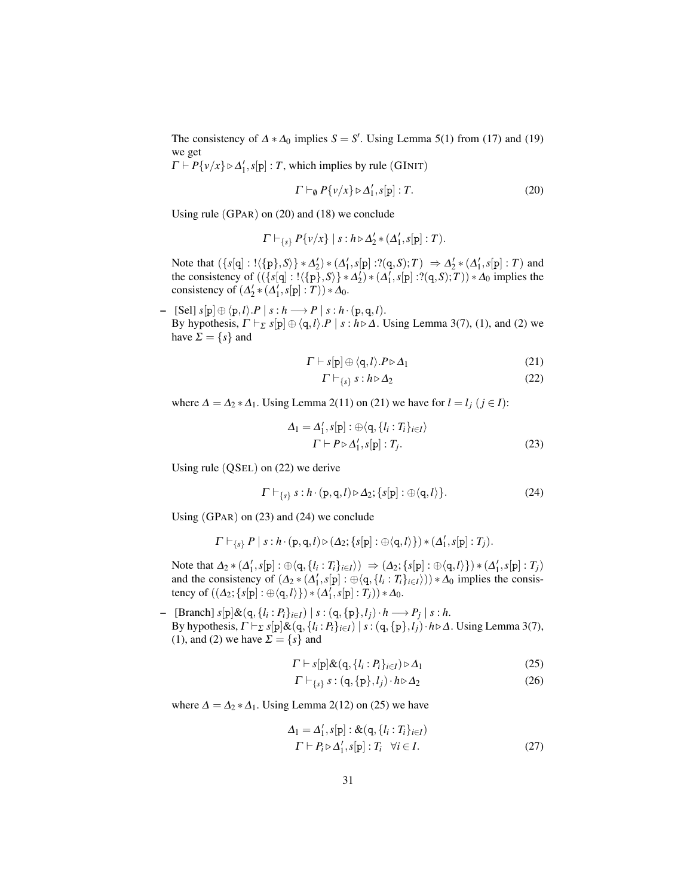The consistency of  $\Delta * \Delta_0$  implies  $S = S'$ . Using Lemma 5(1) from (17) and (19) we get

 $\Gamma \vdash P\{v/x\} \triangleright \Delta_1', s[p] : T$ , which implies by rule (GINIT)

$$
\Gamma \vdash_{\emptyset} P\{v/x\} \triangleright \Delta_1', s[p] : T. \tag{20}
$$

Using rule (GPAR) on (20) and (18) we conclude

$$
\Gamma \vdash_{\{s\}} P\{v/x\} \mid s : h \triangleright \Delta'_2 * (\Delta'_1, s[\mathbf{p}] : T).
$$

Note that  $({s[q]:} {\langle \{p\}, S \rangle} * \Delta'_2) * (\Delta'_1, s[p]:?({q, S);T}) \Rightarrow \Delta'_2 * (\Delta'_1, s[p]:T)$  and the consistency of  $((\{s[q]: !\langle \{p\}, S \rangle\} * \Delta_2') * (\Delta_1', s[p]: ?(q, S); T)) * \Delta_0$  implies the consistency of  $(\Delta'_2 * (\Delta'_1, s[p] : T)) * \Delta_0$ .

– [Sel]  $s[p] ⊕ \langle p, l \rangle \cdot P | s : h \longrightarrow P | s : h \cdot (p, q, l).$ By hypothesis,  $\Gamma \vdash_{\Sigma} s[p] \oplus \langle q, l \rangle \cdot P \mid s : h \triangleright \Delta$ . Using Lemma 3(7), (1), and (2) we have  $\Sigma = \{s\}$  and

$$
\Gamma \vdash s[\mathbf{p}] \oplus \langle \mathbf{q}, l \rangle . P \triangleright \Delta_1 \tag{21}
$$

$$
\Gamma \vdash_{\{s\}} s : h \triangleright \Delta_2 \tag{22}
$$

where  $\Delta = \Delta_2 * \Delta_1$ . Using Lemma 2(11) on (21) we have for  $l = l_j$  ( $j \in I$ ):

$$
\Delta_1 = \Delta'_1, s[\mathbf{p}] : \oplus \langle \mathbf{q}, \{l_i : T_i\}_{i \in I} \rangle
$$
  

$$
\Gamma \vdash P \triangleright \Delta'_1, s[\mathbf{p}] : T_j.
$$
 (23)

Using rule (QSEL) on (22) we derive

$$
\Gamma \vdash_{\{s\}} s : h \cdot (p, q, l) \triangleright \Delta_2; \{s[p] : \oplus \langle q, l \rangle\}.
$$
 (24)

Using (GPAR) on (23) and (24) we conclude

$$
\Gamma \vdash_{\{s\}} P \mid s : h \cdot (p,q,l) \triangleright (\Delta_2; \{s[p] : \oplus \langle q,l \rangle\}) * (\Delta_1', s[p] : T_j).
$$

Note that  $\Delta_2 * (\Delta'_1, s[p] : \oplus \langle q, \{l_i : T_i\}_{i \in I} \rangle) \Rightarrow (\Delta_2; \{s[p] : \oplus \langle q, l \rangle\}) * (\Delta'_1, s[p] : T_j)$ and the consistency of  $(\Delta_2 * (\Delta'_1, s[p] : \oplus \langle q, \{l_i : T_i\}_{i \in I}) ) * \Delta_0$  implies the consistency of  $((\Delta_2; \{s[p] : \oplus \langle q, l \rangle\}) * (\Delta'_1, s[p] : T_j)) * \Delta_0.$ 

 $\left. \blacksquare$  [Branch] *s*[p]&(q, {*l*<sub>*i*</sub> : *P*<sub>*i*</sub>}<sub>*i*∈*I*</sub>) | *s* : (q, {p},*l*<sub>*j*</sub>) · *h* → *P*<sub>*j*</sub> | *s* : *h*. By hypothesis,  $\Gamma \vdash_{\Sigma} s[p] \& (q, \{l_i : P_i\}_{i \in I}) \mid s : (q, \{p\}, l_j) \cdot h \triangleright \Delta$ . Using Lemma 3(7), (1), and (2) we have  $\Sigma = \{s\}$  and

$$
\Gamma \vdash s[\mathbf{p}]\&(\mathbf{q},\{l_i:P_i\}_{i\in I}) \triangleright \Delta_1
$$
\n(25)

$$
\Gamma \vdash_{\{s\}} s : (q, \{p\}, l_j) \cdot h \triangleright \Delta_2 \tag{26}
$$

where  $\Delta = \Delta_2 * \Delta_1$ . Using Lemma 2(12) on (25) we have

$$
\Delta_1 = \Delta'_1, s[\mathbf{p}] : \&(\mathbf{q}, \{l_i : T_i\}_{i \in I})
$$
  

$$
\Gamma \vdash P_i \triangleright \Delta'_1, s[\mathbf{p}] : T_i \quad \forall i \in I.
$$
 (27)